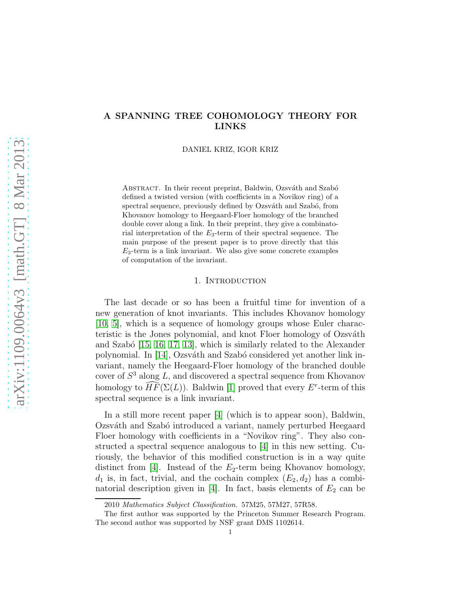# A SPANNING TREE COHOMOLOGY THEORY FOR LINKS

DANIEL KRIZ, IGOR KRIZ

ABSTRACT. In their recent preprint, Baldwin, Ozsváth and Szabó defined a twisted version (with coefficients in a Novikov ring) of a spectral sequence, previously defined by Ozsváth and Szabó, from Khovanov homology to Heegaard-Floer homology of the branched double cover along a link. In their preprint, they give a combinatorial interpretation of the  $E_3$ -term of their spectral sequence. The main purpose of the present paper is to prove directly that this  $E_3$ -term is a link invariant. We also give some concrete examples of computation of the invariant.

### 1. INTRODUCTION

The last decade or so has been a fruitful time for invention of a new generation of knot invariants. This includes Khovanov homology [\[10,](#page-44-0) [5\]](#page-44-1), which is a sequence of homology groups whose Euler characteristic is the Jones polynomial, and knot Floer homology of Ozsváth and Szabó  $[15, 16, 17, 13]$  $[15, 16, 17, 13]$  $[15, 16, 17, 13]$  $[15, 16, 17, 13]$ , which is similarly related to the Alexander polynomial. In [\[14\]](#page-44-6), Ozsváth and Szabó considered yet another link invariant, namely the Heegaard-Floer homology of the branched double cover of  $S<sup>3</sup>$  along L, and discovered a spectral sequence from Khovanov homology to  $\overline{H}\overline{F}(\Sigma(L))$ . Baldwin [\[1\]](#page-43-0) proved that every  $E^r$ -term of this spectral sequence is a link invariant.

In a still more recent paper [\[4\]](#page-44-7) (which is to appear soon), Baldwin, Ozsváth and Szabó introduced a variant, namely perturbed Heegaard Floer homology with coefficients in a "Novikov ring". They also constructed a spectral sequence analogous to [\[4\]](#page-44-7) in this new setting. Curiously, the behavior of this modified construction is in a way quite distinct from [\[4\]](#page-44-7). Instead of the  $E_2$ -term being Khovanov homology,  $d_1$  is, in fact, trivial, and the cochain complex  $(E_2, d_2)$  has a combi-natorial description given in [\[4\]](#page-44-7). In fact, basis elements of  $E_2$  can be

<sup>2010</sup> Mathematics Subject Classification. 57M25, 57M27, 57R58.

The first author was supported by the Princeton Summer Research Program. The second author was supported by NSF grant DMS 1102614.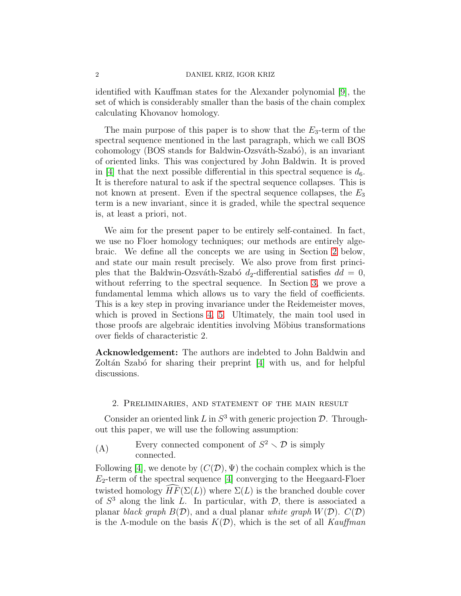#### 2 DANIEL KRIZ, IGOR KRIZ

identified with Kauffman states for the Alexander polynomial [\[9\]](#page-44-8), the set of which is considerably smaller than the basis of the chain complex calculating Khovanov homology.

The main purpose of this paper is to show that the  $E_3$ -term of the spectral sequence mentioned in the last paragraph, which we call BOS cohomology (BOS stands for Baldwin-Ozsváth-Szabó), is an invariant of oriented links. This was conjectured by John Baldwin. It is proved in [\[4\]](#page-44-7) that the next possible differential in this spectral sequence is  $d_6$ . It is therefore natural to ask if the spectral sequence collapses. This is not known at present. Even if the spectral sequence collapses, the  $E_3$ term is a new invariant, since it is graded, while the spectral sequence is, at least a priori, not.

We aim for the present paper to be entirely self-contained. In fact, we use no Floer homology techniques; our methods are entirely algebraic. We define all the concepts we are using in Section [2](#page-1-0) below, and state our main result precisely. We also prove from first principles that the Baldwin-Ozsváth-Szabó  $d_2$ -differential satisfies  $dd = 0$ , without referring to the spectral sequence. In Section [3,](#page-10-0) we prove a fundamental lemma which allows us to vary the field of coefficients. This is a key step in proving invariance under the Reidemeister moves, which is proved in Sections [4,](#page-13-0) [5.](#page-26-0) Ultimately, the main tool used in those proofs are algebraic identities involving Möbius transformations over fields of characteristic 2.

Acknowledgement: The authors are indebted to John Baldwin and Zoltán Szabó for sharing their preprint  $[4]$  with us, and for helpful discussions.

### <span id="page-1-0"></span>2. Preliminaries, and statement of the main result

Consider an oriented link  $L$  in  $S^3$  with generic projection  $\mathcal{D}$ . Throughout this paper, we will use the following assumption:

<span id="page-1-1"></span>(A) Every connected component of  $S^2 \setminus \mathcal{D}$  is simply connected.

Following [\[4\]](#page-44-7), we denote by  $(C(\mathcal{D}), \Psi)$  the cochain complex which is the  $E_2$ -term of the spectral sequence [\[4\]](#page-44-7) converging to the Heegaard-Floer twisted homology  $HF(\Sigma(L))$  where  $\Sigma(L)$  is the branched double cover of  $S<sup>3</sup>$  along the link L. In particular, with  $D$ , there is associated a planar black graph  $B(D)$ , and a dual planar white graph  $W(D)$ .  $C(D)$ is the Λ-module on the basis  $K(\mathcal{D})$ , which is the set of all Kauffman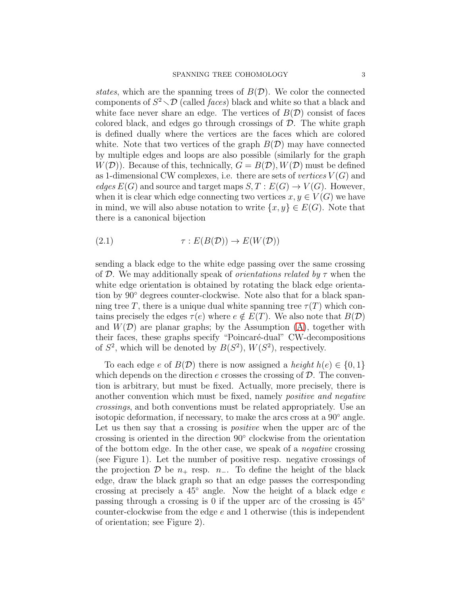states, which are the spanning trees of  $B(D)$ . We color the connected components of  $S^2 \setminus \mathcal{D}$  (called *faces*) black and white so that a black and white face never share an edge. The vertices of  $B(D)$  consist of faces colored black, and edges go through crossings of  $D$ . The white graph is defined dually where the vertices are the faces which are colored white. Note that two vertices of the graph  $B(D)$  may have connected by multiple edges and loops are also possible (similarly for the graph  $W(\mathcal{D})$ . Because of this, technically,  $G = B(\mathcal{D}), W(\mathcal{D})$  must be defined as 1-dimensional CW complexes, i.e. there are sets of *vertices*  $V(G)$  and edges  $E(G)$  and source and target maps  $S, T : E(G) \to V(G)$ . However, when it is clear which edge connecting two vertices  $x, y \in V(G)$  we have in mind, we will also abuse notation to write  $\{x, y\} \in E(G)$ . Note that there is a canonical bijection

(2.1) 
$$
\tau: E(B(\mathcal{D})) \to E(W(\mathcal{D}))
$$

sending a black edge to the white edge passing over the same crossing of D. We may additionally speak of *orientations related by*  $\tau$  when the white edge orientation is obtained by rotating the black edge orientation by 90◦ degrees counter-clockwise. Note also that for a black spanning tree T, there is a unique dual white spanning tree  $\tau(T)$  which contains precisely the edges  $\tau(e)$  where  $e \notin E(T)$ . We also note that  $B(\mathcal{D})$ and  $W(\mathcal{D})$  are planar graphs; by the Assumption  $(A)$ , together with their faces, these graphs specify "Poincaré-dual" CW-decompositions of  $S^2$ , which will be denoted by  $B(S^2)$ ,  $W(S^2)$ , respectively.

To each edge e of  $B(D)$  there is now assigned a *height*  $h(e) \in \{0, 1\}$ which depends on the direction  $e$  crosses the crossing of  $\mathcal{D}$ . The convention is arbitrary, but must be fixed. Actually, more precisely, there is another convention which must be fixed, namely positive and negative crossings, and both conventions must be related appropriately. Use an isotopic deformation, if necessary, to make the arcs cross at a 90◦ angle. Let us then say that a crossing is *positive* when the upper arc of the crossing is oriented in the direction 90◦ clockwise from the orientation of the bottom edge. In the other case, we speak of a negative crossing (see Figure 1). Let the number of positive resp. negative crossings of the projection  $\mathcal D$  be  $n_+$  resp.  $n_-$ . To define the height of the black edge, draw the black graph so that an edge passes the corresponding crossing at precisely a  $45°$  angle. Now the height of a black edge  $e$ passing through a crossing is 0 if the upper arc of the crossing is  $45^\circ$ counter-clockwise from the edge  $e$  and 1 otherwise (this is independent of orientation; see Figure 2).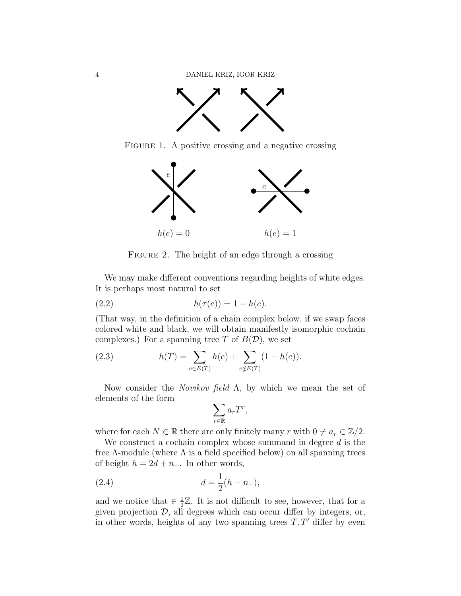

FIGURE 1. A positive crossing and a negative crossing



FIGURE 2. The height of an edge through a crossing

We may make different conventions regarding heights of white edges. It is perhaps most natural to set

(2.2) 
$$
h(\tau(e)) = 1 - h(e).
$$

(That way, in the definition of a chain complex below, if we swap faces colored white and black, we will obtain manifestly isomorphic cochain complexes.) For a spanning tree T of  $B(D)$ , we set

(2.3) 
$$
h(T) = \sum_{e \in E(T)} h(e) + \sum_{e \notin E(T)} (1 - h(e)).
$$

Now consider the *Novikov field*  $\Lambda$ , by which we mean the set of elements of the form

<span id="page-3-0"></span>
$$
\sum_{r \in \mathbb{R}} a_r T^r,
$$

where for each  $N \in \mathbb{R}$  there are only finitely many r with  $0 \neq a_r \in \mathbb{Z}/2$ .

We construct a cochain complex whose summand in degree  $d$  is the free  $\Lambda$ -module (where  $\Lambda$  is a field specified below) on all spanning trees of height  $h = 2d + n_-\$ . In other words,

(2.4) 
$$
d = \frac{1}{2}(h - n_{-}),
$$

and we notice that  $\in \frac{1}{2}$  $\frac{1}{2}\mathbb{Z}$ . It is not difficult to see, however, that for a given projection  $D$ , all degrees which can occur differ by integers, or, in other words, heights of any two spanning trees  $T, T'$  differ by even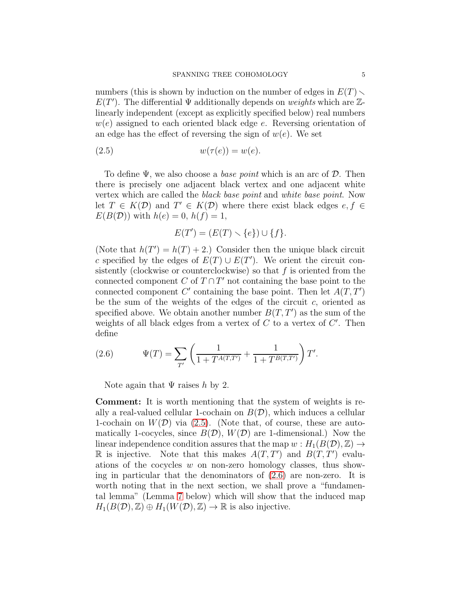numbers (this is shown by induction on the number of edges in  $E(T)$ )  $E(T')$ . The differential  $\Psi$  additionally depends on weights which are  $\mathbb{Z}$ linearly independent (except as explicitly specified below) real numbers  $w(e)$  assigned to each oriented black edge e. Reversing orientation of an edge has the effect of reversing the sign of  $w(e)$ . We set

$$
(2.5) \t\t\t w(\tau(e)) = w(e).
$$

To define  $\Psi$ , we also choose a *base point* which is an arc of  $D$ . Then there is precisely one adjacent black vertex and one adjacent white vertex which are called the black base point and white base point. Now let  $T \in K(\mathcal{D})$  and  $T' \in K(\mathcal{D})$  where there exist black edges  $e, f \in$  $E(B(\mathcal{D}))$  with  $h(e) = 0$ ,  $h(f) = 1$ ,

<span id="page-4-0"></span>
$$
E(T') = (E(T) \setminus \{e\}) \cup \{f\}.
$$

(Note that  $h(T') = h(T) + 2$ .) Consider then the unique black circuit c specified by the edges of  $E(T) \cup E(T')$ . We orient the circuit consistently (clockwise or counterclockwise) so that  $f$  is oriented from the connected component  $C$  of  $T \cap T'$  not containing the base point to the connected component  $C'$  containing the base point. Then let  $A(T, T')$ be the sum of the weights of the edges of the circuit  $c$ , oriented as specified above. We obtain another number  $B(T, T')$  as the sum of the weights of all black edges from a vertex of  $C$  to a vertex of  $C'$ . Then define

<span id="page-4-1"></span>(2.6) 
$$
\Psi(T) = \sum_{T'} \left( \frac{1}{1 + T^{A(T,T')}} + \frac{1}{1 + T^{B(T,T')}} \right) T'.
$$

Note again that  $\Psi$  raises h by 2.

Comment: It is worth mentioning that the system of weights is really a real-valued cellular 1-cochain on  $B(D)$ , which induces a cellular 1-cochain on  $W(D)$  via [\(2.5\)](#page-4-0). (Note that, of course, these are automatically 1-cocycles, since  $B(D)$ ,  $W(D)$  are 1-dimensional.) Now the linear independence condition assures that the map  $w : H_1(B(\mathcal{D}), \mathbb{Z}) \to$ R is injective. Note that this makes  $A(T, T')$  and  $B(T, T')$  evaluations of the cocycles w on non-zero homology classes, thus showing in particular that the denominators of [\(2.6\)](#page-4-1) are non-zero. It is worth noting that in the next section, we shall prove a "fundamental lemma" (Lemma [7](#page-11-0) below) which will show that the induced map  $H_1(B(\mathcal{D}), \mathbb{Z}) \oplus H_1(W(\mathcal{D}), \mathbb{Z}) \to \mathbb{R}$  is also injective.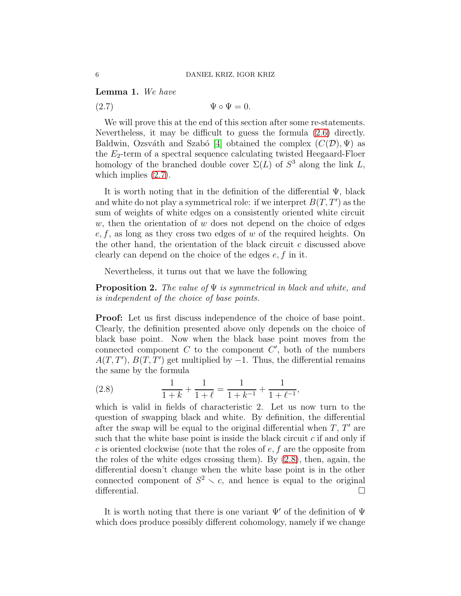<span id="page-5-2"></span>Lemma 1. We have

<span id="page-5-0"></span> $(2.7)$   $\Psi \circ \Psi = 0.$ 

We will prove this at the end of this section after some re-statements. Nevertheless, it may be difficult to guess the formula [\(2.6\)](#page-4-1) directly. Baldwin, Ozsváth and Szabó [\[4\]](#page-44-7) obtained the complex  $(C(\mathcal{D}), \Psi)$  as the  $E_2$ -term of a spectral sequence calculating twisted Heegaard-Floer homology of the branched double cover  $\Sigma(L)$  of  $S^3$  along the link L, which implies  $(2.7)$ .

It is worth noting that in the definition of the differential  $\Psi$ , black and white do not play a symmetrical role: if we interpret  $B(T, T')$  as the sum of weights of white edges on a consistently oriented white circuit  $w$ , then the orientation of  $w$  does not depend on the choice of edges  $e, f$ , as long as they cross two edges of w of the required heights. On the other hand, the orientation of the black circuit  $c$  discussed above clearly can depend on the choice of the edges  $e, f$  in it.

Nevertheless, it turns out that we have the following

**Proposition 2.** The value of  $\Psi$  is symmetrical in black and white, and is independent of the choice of base points.

Proof: Let us first discuss independence of the choice of base point. Clearly, the definition presented above only depends on the choice of black base point. Now when the black base point moves from the connected component  $C$  to the component  $C'$ , both of the numbers  $A(T, T')$ ,  $B(T, T')$  get multiplied by -1. Thus, the differential remains the same by the formula

<span id="page-5-1"></span>(2.8) 
$$
\frac{1}{1+k} + \frac{1}{1+\ell} = \frac{1}{1+k^{-1}} + \frac{1}{1+\ell^{-1}},
$$

which is valid in fields of characteristic 2. Let us now turn to the question of swapping black and white. By definition, the differential after the swap will be equal to the original differential when  $T, T'$  are such that the white base point is inside the black circuit  $c$  if and only if c is oriented clockwise (note that the roles of  $e, f$  are the opposite from the roles of the white edges crossing them). By [\(2.8\)](#page-5-1), then, again, the differential doesn't change when the white base point is in the other connected component of  $S^2 \setminus c$ , and hence is equal to the original differential.

It is worth noting that there is one variant  $\Psi'$  of the definition of  $\Psi$ which does produce possibly different cohomology, namely if we change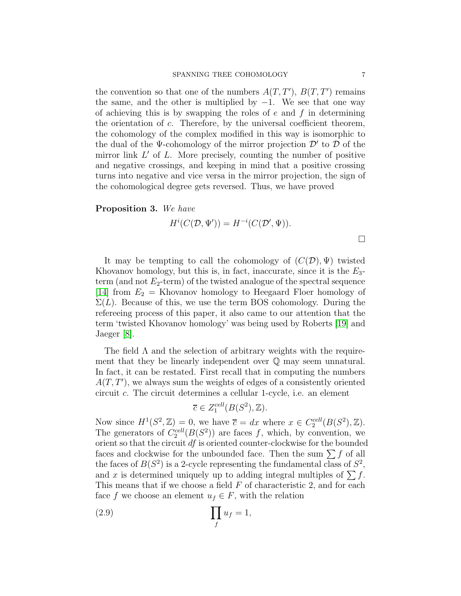the convention so that one of the numbers  $A(T, T')$ ,  $B(T, T')$  remains the same, and the other is multiplied by  $-1$ . We see that one way of achieving this is by swapping the roles of  $e$  and  $f$  in determining the orientation of  $c$ . Therefore, by the universal coefficient theorem, the cohomology of the complex modified in this way is isomorphic to the dual of the  $\Psi$ -cohomology of the mirror projection  $\mathcal{D}'$  to  $\mathcal D$  of the mirror link  $L'$  of  $L$ . More precisely, counting the number of positive and negative crossings, and keeping in mind that a positive crossing turns into negative and vice versa in the mirror projection, the sign of the cohomological degree gets reversed. Thus, we have proved

### Proposition 3. We have

$$
H^{i}(C(\mathcal{D}, \Psi')) = H^{-i}(C(\mathcal{D}', \Psi)).
$$

It may be tempting to call the cohomology of  $(C(\mathcal{D}), \Psi)$  twisted Khovanov homology, but this is, in fact, inaccurate, since it is the  $E_3$ term (and not  $E_2$ -term) of the twisted analogue of the spectral sequence [\[14\]](#page-44-6) from  $E_2 =$  Khovanov homology to Heegaard Floer homology of  $\Sigma(L)$ . Because of this, we use the term BOS cohomology. During the refereeing process of this paper, it also came to our attention that the term 'twisted Khovanov homology' was being used by Roberts [\[19\]](#page-44-9) and Jaeger [\[8\]](#page-44-10).

The field  $\Lambda$  and the selection of arbitrary weights with the requirement that they be linearly independent over  $\mathbb Q$  may seem unnatural. In fact, it can be restated. First recall that in computing the numbers  $A(T, T')$ , we always sum the weights of edges of a consistently oriented circuit c. The circuit determines a cellular 1-cycle, i.e. an element

<span id="page-6-0"></span>
$$
\overline{c} \in Z_1^{cell}(B(S^2), \mathbb{Z}).
$$

Now since  $H^1(S^2, \mathbb{Z}) = 0$ , we have  $\overline{c} = dx$  where  $x \in C_2^{\text{cell}}(B(S^2), \mathbb{Z})$ . The generators of  $C_2^{\text{cell}}(B(S^2))$  are faces f, which, by convention, we orient so that the circuit df is oriented counter-clockwise for the bounded faces and clockwise for the unbounded face. Then the sum  $\sum f$  of all the faces of  $B(S^2)$  is a 2-cycle representing the fundamental class of  $S^2$ , and x is determined uniquely up to adding integral multiples of  $\sum f$ . This means that if we choose a field  $F$  of characteristic 2, and for each face f we choose an element  $u_f \in F$ , with the relation

$$
\prod_f u_f = 1,
$$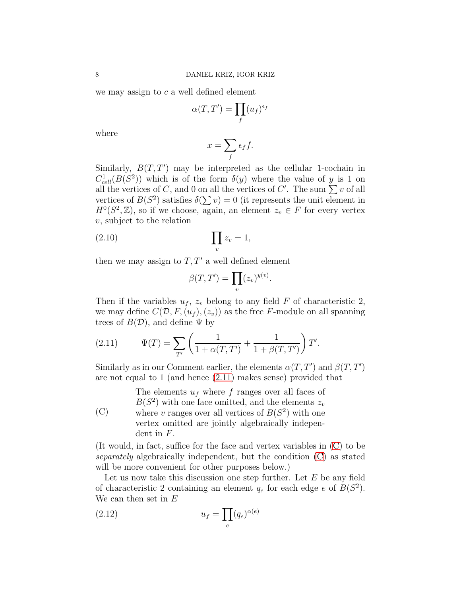we may assign to  $c$  a well defined element

$$
\alpha(T,T')=\prod_f (u_f)^{\epsilon_f}
$$

where

$$
x = \sum_{f} \epsilon_f f.
$$

Similarly,  $B(T, T')$  may be interpreted as the cellular 1-cochain in  $C_{cell}^1(B(S^2))$  which is of the form  $\delta(y)$  where the value of y is 1 on all the vertices of C, and 0 on all the vertices of C'. The sum  $\sum v$  of all vertices of  $B(S^2)$  satisfies  $\delta(\sum v) = 0$  (it represents the unit element in  $H^0(S^2, \mathbb{Z})$ , so if we choose, again, an element  $z_v \in F$  for every vertex  $v$ , subject to the relation

$$
\prod_{v} z_v = 1,
$$

then we may assign to  $T, T'$  a well defined element

<span id="page-7-2"></span>
$$
\beta(T,T') = \prod_{v} (z_v)^{y(v)}.
$$

Then if the variables  $u_f$ ,  $z_v$  belong to any field F of characteristic 2, we may define  $C(\mathcal{D}, F,(u_f),(z_v))$  as the free F-module on all spanning trees of  $B(D)$ , and define  $\Psi$  by

<span id="page-7-0"></span>(2.11) 
$$
\Psi(T) = \sum_{T'} \left( \frac{1}{1 + \alpha(T, T')} + \frac{1}{1 + \beta(T, T')} \right) T'.
$$

Similarly as in our Comment earlier, the elements  $\alpha(T, T')$  and  $\beta(T, T')$ are not equal to 1 (and hence [\(2.11\)](#page-7-0) makes sense) provided that

<span id="page-7-1"></span>(C) The elements  $u_f$  where f ranges over all faces of  $B(S^2)$  with one face omitted, and the elements  $z_v$ where v ranges over all vertices of  $B(S^2)$  with one vertex omitted are jointly algebraically independent in F.

(It would, in fact, suffice for the face and vertex variables in [\(C\)](#page-7-1) to be separately algebraically independent, but the condition [\(C\)](#page-7-1) as stated will be more convenient for other purposes below.)

Let us now take this discussion one step further. Let  $E$  be any field of characteristic 2 containing an element  $q_e$  for each edge e of  $B(S^2)$ . We can then set in  $E$ 

(2.12) 
$$
u_f = \prod_e (q_e)^{\alpha(e)}
$$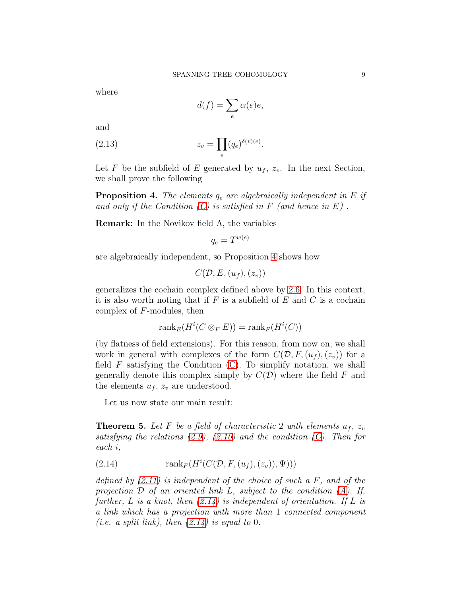where

$$
d(f) = \sum_{e} \alpha(e)e,
$$

and

(2.13) 
$$
z_v = \prod_e (q_e)^{\delta(v)(e)}.
$$

Let F be the subfield of E generated by  $u_f$ ,  $z_v$ . In the next Section, we shall prove the following

<span id="page-8-0"></span>**Proposition 4.** The elements  $q_e$  are algebraically independent in E if and only if the Condition  $(C)$  is satisfied in F (and hence in E).

Remark: In the Novikov field  $\Lambda$ , the variables

$$
q_e = T^{w(e)} \\
$$

are algebraically independent, so Proposition [4](#page-8-0) shows how

$$
C(\mathcal{D}, E, (u_f), (z_v))
$$

generalizes the cochain complex defined above by [2.6.](#page-4-1) In this context, it is also worth noting that if  $F$  is a subfield of  $E$  and  $C$  is a cochain complex of F-modules, then

$$
\operatorname{rank}_E(H^i(C \otimes_F E)) = \operatorname{rank}_F(H^i(C))
$$

(by flatness of field extensions). For this reason, from now on, we shall work in general with complexes of the form  $C(\mathcal{D}, F,(u_f),(z_v))$  for a field  $F$  satisfying the Condition  $(C)$ . To simplify notation, we shall generally denote this complex simply by  $C(\mathcal{D})$  where the field F and the elements  $u_f$ ,  $z_v$  are understood.

Let us now state our main result:

<span id="page-8-2"></span>**Theorem 5.** Let F be a field of characteristic 2 with elements  $u_f$ ,  $z_v$ satisfying the relations  $(2.9)$ ,  $(2.10)$  and the condition  $(C)$ . Then for each i,

<span id="page-8-1"></span>(2.14) 
$$
rank_F(H^i(C(\mathcal{D}, F, (u_f), (z_v)), \Psi)))
$$

defined by  $(2.11)$  is independent of the choice of such a F, and of the projection  $\mathcal D$  of an oriented link L, subject to the condition [\(A\)](#page-1-1). If, further, L is a knot, then  $(2.14)$  is independent of orientation. If L is a link which has a projection with more than 1 connected component (*i.e.* a split link), then  $(2.14)$  is equal to 0.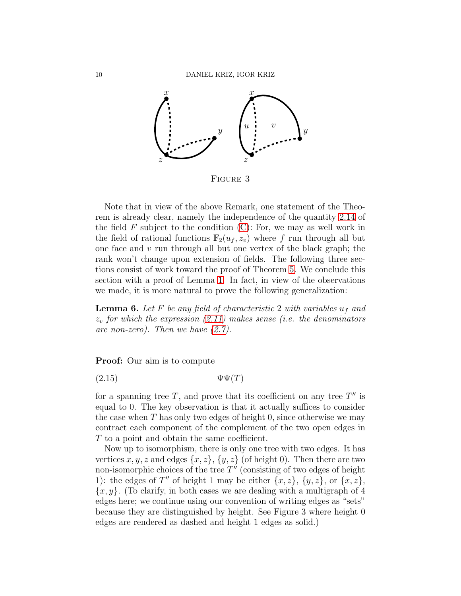

Figure 3

Note that in view of the above Remark, one statement of the Theorem is already clear, namely the independence of the quantity [2.14](#page-8-1) of the field  $F$  subject to the condition  $(C)$ : For, we may as well work in the field of rational functions  $\mathbb{F}_2(u_f, z_v)$  where f run through all but one face and  $v$  run through all but one vertex of the black graph; the rank won't change upon extension of fields. The following three sections consist of work toward the proof of Theorem [5.](#page-8-2) We conclude this section with a proof of Lemma [1.](#page-5-2) In fact, in view of the observations we made, it is more natural to prove the following generalization:

**Lemma 6.** Let F be any field of characteristic 2 with variables  $u_f$  and  $z<sub>v</sub>$  for which the expression [\(2.11\)](#page-7-0) makes sense (i.e. the denominators are non-zero). Then we have [\(2.7\)](#page-5-0).

Proof: Our aim is to compute

<span id="page-9-0"></span>
$$
(2.15) \t\t \Psi\Psi(T)
$$

for a spanning tree  $T$ , and prove that its coefficient on any tree  $T''$  is equal to 0. The key observation is that it actually suffices to consider the case when  $T$  has only two edges of height  $0$ , since otherwise we may contract each component of the complement of the two open edges in T to a point and obtain the same coefficient.

Now up to isomorphism, there is only one tree with two edges. It has vertices x, y, z and edges  $\{x, z\}$ ,  $\{y, z\}$  (of height 0). Then there are two non-isomorphic choices of the tree  $T''$  (consisting of two edges of height 1): the edges of T'' of height 1 may be either  $\{x, z\}$ ,  $\{y, z\}$ , or  $\{x, z\}$ ,  ${x, y}$ . (To clarify, in both cases we are dealing with a multigraph of 4 edges here; we continue using our convention of writing edges as "sets" because they are distinguished by height. See Figure 3 where height 0 edges are rendered as dashed and height 1 edges as solid.)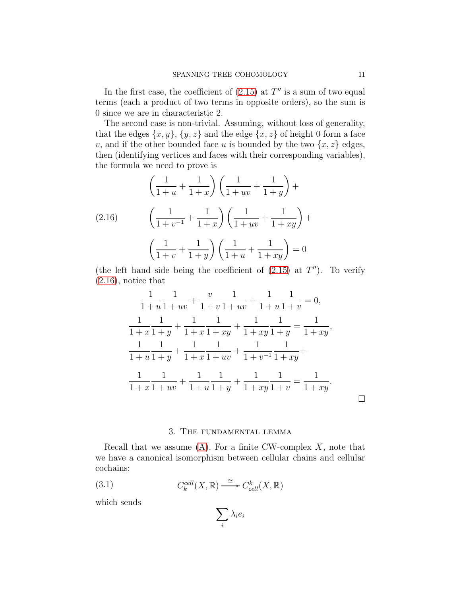In the first case, the coefficient of  $(2.15)$  at  $T''$  is a sum of two equal terms (each a product of two terms in opposite orders), so the sum is 0 since we are in characteristic 2.

The second case is non-trivial. Assuming, without loss of generality, that the edges  $\{x, y\}$ ,  $\{y, z\}$  and the edge  $\{x, z\}$  of height 0 form a face v, and if the other bounded face u is bounded by the two  $\{x, z\}$  edges, then (identifying vertices and faces with their corresponding variables), the formula we need to prove is

<span id="page-10-1"></span>
$$
\left(\frac{1}{1+u} + \frac{1}{1+x}\right)\left(\frac{1}{1+uv} + \frac{1}{1+y}\right) +
$$
\n
$$
(2.16) \qquad \left(\frac{1}{1+v^{-1}} + \frac{1}{1+x}\right)\left(\frac{1}{1+uv} + \frac{1}{1+xy}\right) +
$$
\n
$$
\left(\frac{1}{1+v} + \frac{1}{1+y}\right)\left(\frac{1}{1+u} + \frac{1}{1+xy}\right) = 0
$$

(the left hand side being the coefficient of  $(2.15)$  at  $T''$ ). To verify [\(2.16\)](#page-10-1), notice that

$$
\frac{1}{1+u}\frac{1}{1+uv} + \frac{v}{1+v}\frac{1}{1+uv} + \frac{1}{1+u}\frac{1}{1+v} = 0,
$$
  

$$
\frac{1}{1+x}\frac{1}{1+y} + \frac{1}{1+x}\frac{1}{1+xy} + \frac{1}{1+xy}\frac{1}{1+y} = \frac{1}{1+xy},
$$
  

$$
\frac{1}{1+u}\frac{1}{1+y} + \frac{1}{1+x}\frac{1}{1+uv} + \frac{1}{1+v^{-1}}\frac{1}{1+xy} + \frac{1}{1+xy}.
$$

# 3. The fundamental lemma

<span id="page-10-0"></span>Recall that we assume  $(A)$ . For a finite CW-complex X, note that we have a canonical isomorphism between cellular chains and cellular cochains:

(3.1) 
$$
C_k^{cell}(X,\mathbb{R}) \xrightarrow{\cong} C_{cell}^k(X,\mathbb{R})
$$

which sends

$$
\sum_i \lambda_i e_i
$$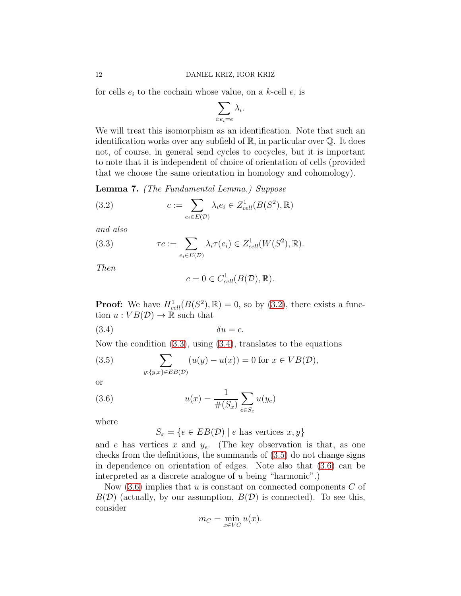for cells  $e_i$  to the cochain whose value, on a k-cell  $e_i$ , is

$$
\sum_{i:e_i=e}\lambda_i.
$$

We will treat this isomorphism as an identification. Note that such an identification works over any subfield of  $\mathbb{R}$ , in particular over  $\mathbb{Q}$ . It does not, of course, in general send cycles to cocycles, but it is important to note that it is independent of choice of orientation of cells (provided that we choose the same orientation in homology and cohomology).

<span id="page-11-0"></span>Lemma 7. (The Fundamental Lemma.) Suppose

<span id="page-11-1"></span>(3.2) 
$$
c := \sum_{e_i \in E(\mathcal{D})} \lambda_i e_i \in Z_{cell}^1(B(S^2), \mathbb{R})
$$

and also

(3.3) 
$$
\tau c := \sum_{e_i \in E(\mathcal{D})} \lambda_i \tau(e_i) \in Z^1_{cell}(W(S^2), \mathbb{R}).
$$

Then

<span id="page-11-3"></span><span id="page-11-2"></span>
$$
c = 0 \in C_{cell}^1(B(\mathcal{D}), \mathbb{R}).
$$

**Proof:** We have  $H_{cell}^1(B(S^2), \mathbb{R}) = 0$ , so by [\(3.2\)](#page-11-1), there exists a function  $u: VB(\mathcal{D}) \to \mathbb{R}$  such that

$$
(3.4) \t\t\t \delta u = c.
$$

Now the condition [\(3.3\)](#page-11-2), using [\(3.4\)](#page-11-3), translates to the equations

<span id="page-11-4"></span>(3.5) 
$$
\sum_{y:\{y,x\}\in EB(\mathcal{D})} (u(y)-u(x))=0 \text{ for } x\in VB(\mathcal{D}),
$$

or

(3.6) 
$$
u(x) = \frac{1}{\#(S_x)} \sum_{e \in S_x} u(y_e)
$$

where

<span id="page-11-5"></span> $S_x = \{e \in EB(\mathcal{D}) \mid e \text{ has vertices } x, y\}$ 

and e has vertices x and  $y_e$ . (The key observation is that, as one checks from the definitions, the summands of [\(3.5\)](#page-11-4) do not change signs in dependence on orientation of edges. Note also that [\(3.6\)](#page-11-5) can be interpreted as a discrete analogue of u being "harmonic".)

Now  $(3.6)$  implies that u is constant on connected components C of  $B(\mathcal{D})$  (actually, by our assumption,  $B(\mathcal{D})$  is connected). To see this, consider

$$
m_C = \min_{x \in VC} u(x).
$$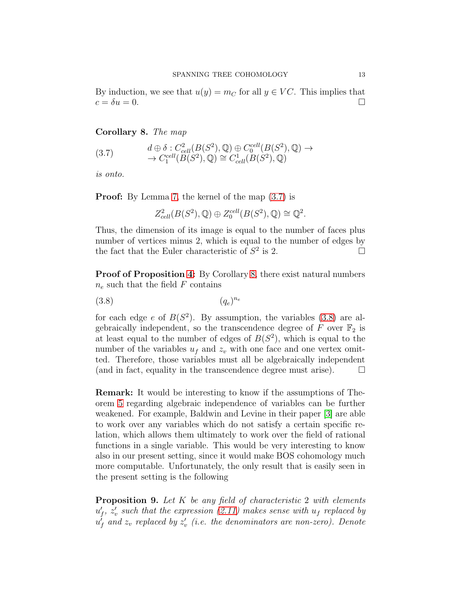By induction, we see that  $u(y) = m_C$  for all  $y \in VC$ . This implies that  $c = \delta u = 0.$ 

# <span id="page-12-1"></span>Corollary 8. The map

<span id="page-12-0"></span>
$$
(3.7) \t d \oplus \delta : C_{cell}^2(B(S^2), \mathbb{Q}) \oplus C_0^{cell}(B(S^2), \mathbb{Q}) \to \to C_1^{cell}(B(S^2), \mathbb{Q}) \cong C_{cell}^1(B(S^2), \mathbb{Q})
$$

is onto.

**Proof:** By Lemma [7,](#page-11-0) the kernel of the map  $(3.7)$  is

<span id="page-12-2"></span>
$$
Z_{cell}^2(B(S^2), \mathbb{Q}) \oplus Z_0^{cell}(B(S^2), \mathbb{Q}) \cong \mathbb{Q}^2.
$$

Thus, the dimension of its image is equal to the number of faces plus number of vertices minus 2, which is equal to the number of edges by the fact that the Euler characteristic of  $S^2$  is 2.

Proof of Proposition [4:](#page-8-0) By Corollary [8,](#page-12-1) there exist natural numbers  $n_e$  such that the field  $F$  contains

$$
(3.8)\t\t (q_e)^{n_e}
$$

for each edge  $e$  of  $B(S^2)$ . By assumption, the variables  $(3.8)$  are algebraically independent, so the transcendence degree of  $F$  over  $\mathbb{F}_2$  is at least equal to the number of edges of  $B(S^2)$ , which is equal to the number of the variables  $u_f$  and  $z_v$  with one face and one vertex omitted. Therefore, those variables must all be algebraically independent (and in fact, equality in the transcendence degree must arise).  $\Box$ 

Remark: It would be interesting to know if the assumptions of Theorem [5](#page-8-2) regarding algebraic independence of variables can be further weakened. For example, Baldwin and Levine in their paper [\[3\]](#page-44-11) are able to work over any variables which do not satisfy a certain specific relation, which allows them ultimately to work over the field of rational functions in a single variable. This would be very interesting to know also in our present setting, since it would make BOS cohomology much more computable. Unfortunately, the only result that is easily seen in the present setting is the following

<span id="page-12-3"></span>**Proposition 9.** Let K be any field of characteristic 2 with elements  $u'_{f}$ ,  $z'_{v}$  such that the expression [\(2.11\)](#page-7-0) makes sense with  $u_{f}$  replaced by  $u_f^{\prime}$  and  $z_v$  replaced by  $z_v^{\prime}$  (i.e. the denominators are non-zero). Denote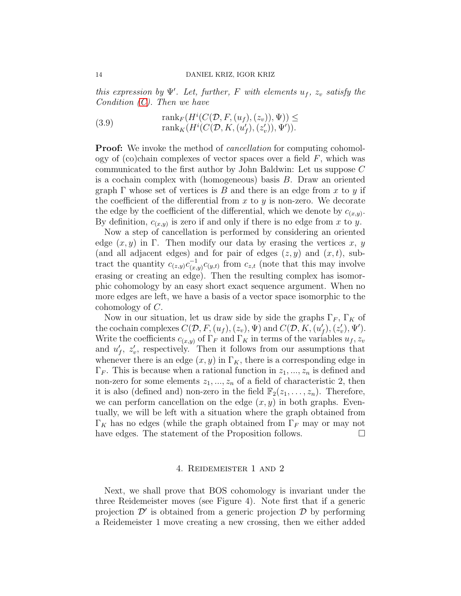this expression by  $\Psi'$ . Let, further, F with elements  $u_f$ ,  $z_v$  satisfy the Condition  $(C)$ . Then we have

(3.9) 
$$
\begin{aligned}\n\text{rank}_F(H^i(C(\mathcal{D}, F, (u_f), (z_v)), \Psi)) &\leq\\
\text{rank}_K(H^i(C(\mathcal{D}, K, (u'_f), (z'_v)), \Psi')).\n\end{aligned}
$$

**Proof:** We invoke the method of *cancellation* for computing cohomology of (co)chain complexes of vector spaces over a field  $F$ , which was communicated to the first author by John Baldwin: Let us suppose C is a cochain complex with (homogeneous) basis B. Draw an oriented graph  $\Gamma$  whose set of vertices is B and there is an edge from x to y if the coefficient of the differential from  $x$  to  $y$  is non-zero. We decorate the edge by the coefficient of the differential, which we denote by  $c_{(x,y)}$ . By definition,  $c_{(x,y)}$  is zero if and only if there is no edge from x to y.

Now a step of cancellation is performed by considering an oriented edge  $(x, y)$  in Γ. Then modify our data by erasing the vertices x, y (and all adjacent edges) and for pair of edges  $(z, y)$  and  $(x, t)$ , subtract the quantity  $c_{(z,y)}c_{(x)}^{-1}$  $\sum_{(x,y)}^{-1}c_{(y,t)}$  from  $c_{z,t}$  (note that this may involve erasing or creating an edge). Then the resulting complex has isomorphic cohomology by an easy short exact sequence argument. When no more edges are left, we have a basis of a vector space isomorphic to the cohomology of C.

Now in our situation, let us draw side by side the graphs  $\Gamma_F$ ,  $\Gamma_K$  of the cochain complexes  $C(\mathcal{D}, F, (u_f), (z_v), \Psi)$  and  $C(\mathcal{D}, K, (u'_f), (z'_v), \Psi')$ . Write the coefficients  $c_{(x,y)}$  of  $\Gamma_F$  and  $\Gamma_K$  in terms of the variables  $u_f, z_v$ and  $u'_{f}$ ,  $z'_{v}$ , respectively. Then it follows from our assumptions that whenever there is an edge  $(x, y)$  in  $\Gamma_K$ , there is a corresponding edge in  $\Gamma_F$ . This is because when a rational function in  $z_1, ..., z_n$  is defined and non-zero for some elements  $z_1, ..., z_n$  of a field of characteristic 2, then it is also (defined and) non-zero in the field  $\mathbb{F}_2(z_1, \ldots, z_n)$ . Therefore, we can perform cancellation on the edge  $(x, y)$  in both graphs. Eventually, we will be left with a situation where the graph obtained from  $\Gamma_K$  has no edges (while the graph obtained from  $\Gamma_F$  may or may not have edges. The statement of the Proposition follows.  $\Box$ 

### 4. Reidemeister 1 and 2

<span id="page-13-0"></span>Next, we shall prove that BOS cohomology is invariant under the three Reidemeister moves (see Figure 4). Note first that if a generic projection  $\mathcal{D}'$  is obtained from a generic projection  $\mathcal{D}$  by performing a Reidemeister 1 move creating a new crossing, then we either added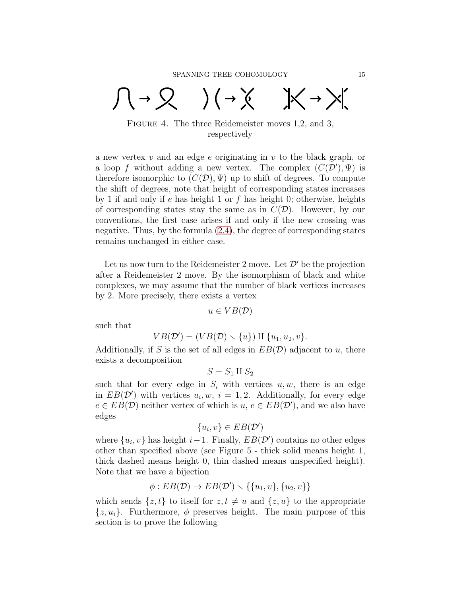$\bigcap \rightarrow \bigotimes$  ) (  $\rightarrow \times$  )  $\times \rightarrow \times$ 

FIGURE 4. The three Reidemeister moves 1,2, and 3, respectively

a new vertex v and an edge e originating in v to the black graph, or a loop f without adding a new vertex. The complex  $(C(\mathcal{D}'), \Psi)$  is therefore isomorphic to  $(C(\mathcal{D}), \Psi)$  up to shift of degrees. To compute the shift of degrees, note that height of corresponding states increases by 1 if and only if e has height 1 or f has height 0; otherwise, heights of corresponding states stay the same as in  $C(\mathcal{D})$ . However, by our conventions, the first case arises if and only if the new crossing was negative. Thus, by the formula [\(2.4\)](#page-3-0), the degree of corresponding states remains unchanged in either case.

Let us now turn to the Reidemeister 2 move. Let  $\mathcal{D}'$  be the projection after a Reidemeister 2 move. By the isomorphism of black and white complexes, we may assume that the number of black vertices increases by 2. More precisely, there exists a vertex

$$
u \in VB(\mathcal{D})
$$

such that

$$
VB(\mathcal{D}') = (VB(\mathcal{D}) \setminus \{u\}) \amalg \{u_1, u_2, v\}.
$$

Additionally, if S is the set of all edges in  $EB(\mathcal{D})$  adjacent to u, there exists a decomposition

$$
S = S_1 \amalg S_2
$$

such that for every edge in  $S_i$  with vertices  $u, w$ , there is an edge in  $EB(\mathcal{D}')$  with vertices  $u_i, w, i = 1, 2$ . Additionally, for every edge  $e \in EB(\mathcal{D})$  neither vertex of which is  $u, e \in EB(\mathcal{D}')$ , and we also have edges

$$
\{u_i, v\} \in EB(\mathcal{D}')
$$

where  $\{u_i, v\}$  has height  $i-1$ . Finally,  $EB(\mathcal{D}')$  contains no other edges other than specified above (see Figure 5 - thick solid means height 1, thick dashed means height 0, thin dashed means unspecified height). Note that we have a bijection

$$
\phi: EB(\mathcal{D}) \to EB(\mathcal{D}') \smallsetminus \{ \{u_1,v\}, \{u_2,v\} \}
$$

which sends  $\{z, t\}$  to itself for  $z, t \neq u$  and  $\{z, u\}$  to the appropriate  $\{z, u_i\}$ . Furthermore,  $\phi$  preserves height. The main purpose of this section is to prove the following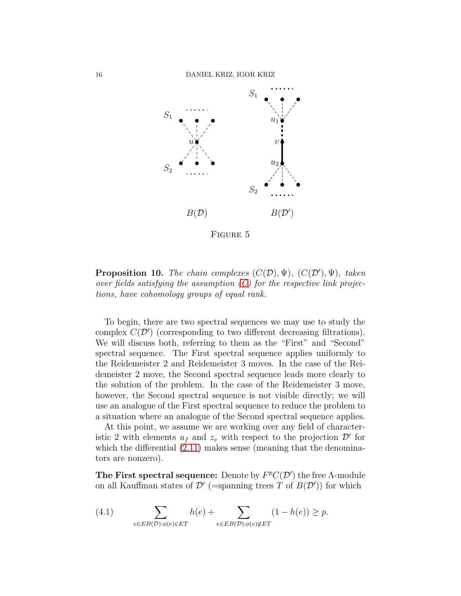

FIGURE 5

<span id="page-15-0"></span>**Proposition 10.** The chain complexes  $(C(\mathcal{D}), \Psi)$ ,  $(C(\mathcal{D}'), \Psi)$ , taken over fields satisfying the assumption  $(C)$  for the respective link projections, have cohomology groups of equal rank.

To begin, there are two spectral sequences we may use to study the complex  $C(\mathcal{D}')$  (corresponding to two different decreasing filtrations). We will discuss both, referring to them as the "First" and "Second" spectral sequence. The First spectral sequence applies uniformly to the Reidemeister 2 and Reidemeister 3 moves. In the case of the Reidemeister 2 move, the Second spectral sequence leads more clearly to the solution of the problem. In the case of the Reidemeister 3 move, however, the Second spectral sequence is not visible directly; we will use an analogue of the First spectral sequence to reduce the problem to a situation where an analogue of the Second spectral sequence applies.

At this point, we assume we are working over any field of characteristic 2 with elements  $u_f$  and  $z_v$  with respect to the projection  $\mathcal{D}'$  for which the differential  $(2.11)$  makes sense (meaning that the denominators are nonzero).

The First spectral sequence: Denote by  $F^pC(\mathcal{D}')$  the free A-module on all Kauffman states of  $\mathcal{D}'$  (=spanning trees T of  $B(\mathcal{D}')$ ) for which

(4.1) 
$$
\sum_{e \in EB(\mathcal{D}): \phi(e) \in ET} h(e) + \sum_{e \in EB(\mathcal{D}): \phi(e) \notin ET} (1 - h(e)) \ge p.
$$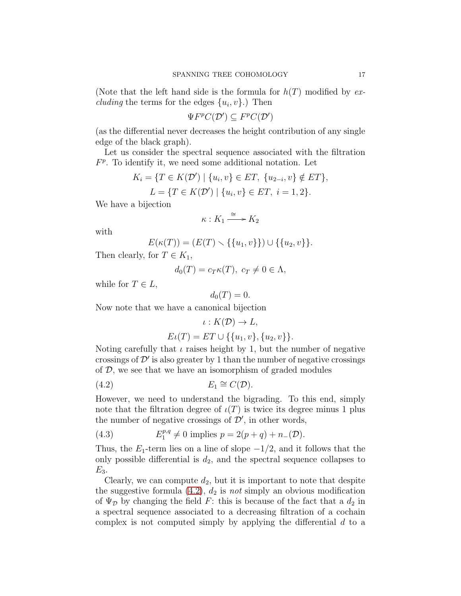(Note that the left hand side is the formula for  $h(T)$  modified by ex*cluding* the terms for the edges  $\{u_i, v\}$ .) Then

$$
\Psi F^p C(\mathcal{D}') \subseteq F^p C(\mathcal{D}')
$$

(as the differential never decreases the height contribution of any single edge of the black graph).

Let us consider the spectral sequence associated with the filtration  $F<sup>p</sup>$ . To identify it, we need some additional notation. Let

$$
K_i = \{ T \in K(\mathcal{D}') \mid \{u_i, v\} \in ET, \{u_{2-i}, v\} \notin ET \},
$$
  

$$
L = \{ T \in K(\mathcal{D}') \mid \{u_i, v\} \in ET, \ i = 1, 2 \}.
$$

We have a bijection

$$
\kappa: K_1 \xrightarrow{\cong} K_2
$$

with

$$
E(\kappa(T)) = (E(T) \setminus \{\{u_1, v\}\}) \cup \{\{u_2, v\}\}.
$$

Then clearly, for  $T \in K_1$ ,

$$
d_0(T) = c_T \kappa(T), \ c_T \neq 0 \in \Lambda,
$$

while for  $T \in L$ ,

$$
d_0(T)=0.
$$

Now note that we have a canonical bijection

<span id="page-16-0"></span>
$$
\iota: K(\mathcal{D}) \to L,
$$
  

$$
E\iota(T) = ET \cup \{\{u_1, v\}, \{u_2, v\}\}.
$$

Noting carefully that  $\iota$  raises height by 1, but the number of negative crossings of  $\mathcal{D}'$  is also greater by 1 than the number of negative crossings of  $D$ , we see that we have an isomorphism of graded modules

$$
(4.2) \t\t\t E_1 \cong C(\mathcal{D}).
$$

However, we need to understand the bigrading. To this end, simply note that the filtration degree of  $\iota(T)$  is twice its degree minus 1 plus the number of negative crossings of  $\mathcal{D}'$ , in other words,

(4.3) 
$$
E_1^{p,q} \neq 0
$$
 implies  $p = 2(p+q) + n_-(\mathcal{D}).$ 

Thus, the  $E_1$ -term lies on a line of slope  $-1/2$ , and it follows that the only possible differential is  $d_2$ , and the spectral sequence collapses to  $E_3$ .

Clearly, we can compute  $d_2$ , but it is important to note that despite the suggestive formula  $(4.2)$ ,  $d_2$  is not simply an obvious modification of  $\Psi_{\mathcal{D}}$  by changing the field F: this is because of the fact that a  $d_2$  in a spectral sequence associated to a decreasing filtration of a cochain complex is not computed simply by applying the differential d to a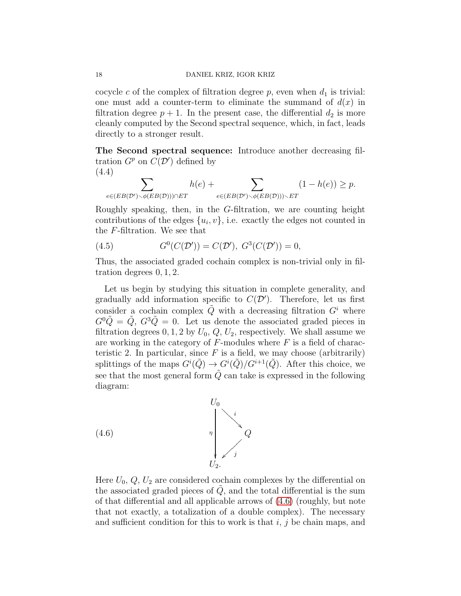cocycle c of the complex of filtration degree  $p$ , even when  $d_1$  is trivial: one must add a counter-term to eliminate the summand of  $d(x)$  in filtration degree  $p + 1$ . In the present case, the differential  $d_2$  is more cleanly computed by the Second spectral sequence, which, in fact, leads directly to a stronger result.

The Second spectral sequence: Introduce another decreasing filtration  $G^p$  on  $C(\mathcal{D}')$  defined by (4.4)

$$
\sum_{e \in (EB(\mathcal{D}') \setminus \phi(EB(\mathcal{D}))) \cap ET} h(e) + \sum_{e \in (EB(\mathcal{D}') \setminus \phi(EB(\mathcal{D}))) \setminus ET} (1 - h(e)) \ge p.
$$

Roughly speaking, then, in the G-filtration, we are counting height contributions of the edges  $\{u_i, v\}$ , i.e. exactly the edges not counted in the F-filtration. We see that

(4.5) 
$$
G^{0}(C(\mathcal{D}')) = C(\mathcal{D}'), G^{3}(C(\mathcal{D}')) = 0,
$$

Thus, the associated graded cochain complex is non-trivial only in filtration degrees 0, 1, 2.

Let us begin by studying this situation in complete generality, and gradually add information specific to  $C(\mathcal{D}')$ . Therefore, let us first consider a cochain complex  $\tilde{Q}$  with a decreasing filtration  $G<sup>i</sup>$  where  $G^0\tilde{Q} = \tilde{Q}$ ,  $G^3\tilde{Q} = 0$ . Let us denote the associated graded pieces in filtration degrees  $0, 1, 2$  by  $U_0, Q, U_2$ , respectively. We shall assume we are working in the category of  $F$ -modules where  $F$  is a field of characteristic 2. In particular, since  $F$  is a field, we may choose (arbitrarily) splittings of the maps  $G^{i}(\tilde{Q}) \to G^{i}(\tilde{Q})/G^{i+1}(\tilde{Q})$ . After this choice, we see that the most general form  $\tilde{Q}$  can take is expressed in the following diagram:



<span id="page-17-0"></span>Here  $U_0, Q, U_2$  are considered cochain complexes by the differential on the associated graded pieces of  $Q$ , and the total differential is the sum of that differential and all applicable arrows of [\(4.6\)](#page-17-0) (roughly, but note that not exactly, a totalization of a double complex). The necessary and sufficient condition for this to work is that  $i, j$  be chain maps, and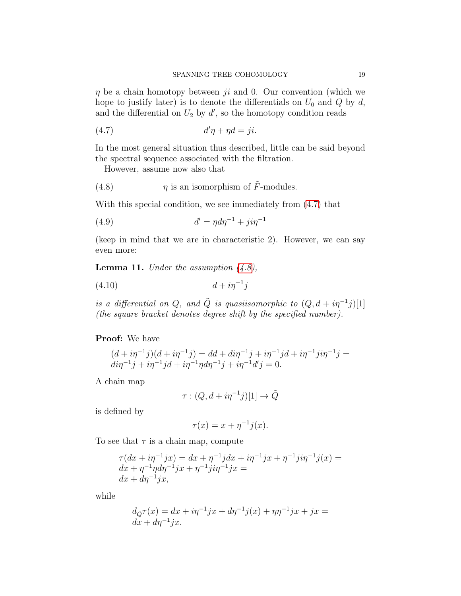$\eta$  be a chain homotopy between ji and 0. Our convention (which we hope to justify later) is to denote the differentials on  $U_0$  and  $Q$  by d, and the differential on  $U_2$  by  $d'$ , so the homotopy condition reads

<span id="page-18-0"></span>
$$
(4.7) \t d'\eta + \eta d = ji.
$$

In the most general situation thus described, little can be said beyond the spectral sequence associated with the filtration.

<span id="page-18-1"></span>However, assume now also that

(4.8) 
$$
\eta
$$
 is an isomorphism of  $\tilde{F}$ -modules.

With this special condition, we see immediately from [\(4.7\)](#page-18-0) that

<span id="page-18-4"></span>(4.9) 
$$
d' = \eta d\eta^{-1} + j i \eta^{-1}
$$

(keep in mind that we are in characteristic 2). However, we can say even more:

<span id="page-18-3"></span>**Lemma 11.** Under the assumption  $(4.8)$ ,

$$
(4.10) \t\t d + i\eta^{-1}j
$$

is a differential on Q, and  $\tilde{Q}$  is quasiisomorphic to  $(Q, d + i\eta^{-1}j)[1]$ (the square bracket denotes degree shift by the specified number).

### Proof: We have

$$
(d + i\eta^{-1}j)(d + i\eta^{-1}j) = dd + di\eta^{-1}j + i\eta^{-1}jd + i\eta^{-1}j i\eta^{-1}j = di\eta^{-1}j + i\eta^{-1}jd + i\eta^{-1}\eta d\eta^{-1}j + i\eta^{-1}d'j = 0.
$$

A chain map

<span id="page-18-2"></span>
$$
\tau:(Q,d+i\eta^{-1}j)[1]\to\tilde{Q}
$$

is defined by

$$
\tau(x) = x + \eta^{-1} j(x).
$$

To see that  $\tau$  is a chain map, compute

$$
\tau(dx + i\eta^{-1}jx) = dx + \eta^{-1}jdx + i\eta^{-1}jx + \eta^{-1}ji\eta^{-1}j(x) = dx + \eta^{-1}\eta d\eta^{-1}jx + \eta^{-1}ji\eta^{-1}jx = dx + d\eta^{-1}jx,
$$

while

$$
d_{\tilde{Q}}\tau(x) = dx + i\eta^{-1}jx + d\eta^{-1}j(x) + \eta\eta^{-1}jx + jx = dx + d\eta^{-1}jx.
$$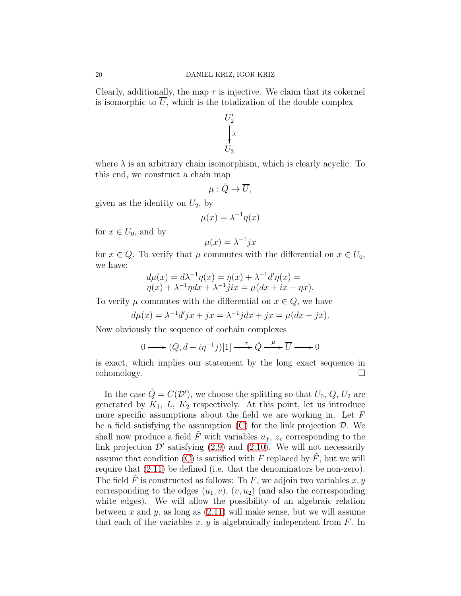Clearly, additionally, the map  $\tau$  is injective. We claim that its cokernel is isomorphic to  $\overline{U}$ , which is the totalization of the double complex

$$
U_2'
$$
  
\n
$$
\downarrow \lambda
$$
  
\n
$$
U_2
$$

where  $\lambda$  is an arbitrary chain isomorphism, which is clearly acyclic. To this end, we construct a chain map

$$
\mu: \tilde{Q} \to \overline{U},
$$

given as the identity on  $U_2$ , by

$$
\mu(x) = \lambda^{-1} \eta(x)
$$

for  $x \in U_0$ , and by

$$
\mu(x) = \lambda^{-1} jx
$$

for  $x \in Q$ . To verify that  $\mu$  commutes with the differential on  $x \in U_0$ , we have:

$$
d\mu(x) = d\lambda^{-1}\eta(x) = \eta(x) + \lambda^{-1}d'\eta(x) =
$$
  

$$
\eta(x) + \lambda^{-1}\eta dx + \lambda^{-1}jix = \mu(dx + ix + \eta x).
$$

To verify  $\mu$  commutes with the differential on  $x \in Q$ , we have

$$
d\mu(x) = \lambda^{-1}d'jx + jx = \lambda^{-1}jdx + jx = \mu(dx + jx).
$$

Now obviously the sequence of cochain complexes

$$
0 \longrightarrow (Q, d + i\eta^{-1}j)[1] \longrightarrow \tilde{Q} \longrightarrow \overline{U} \longrightarrow 0
$$

is exact, which implies our statement by the long exact sequence in cohomology.

In the case  $\tilde{Q} = C(\mathcal{D}')$ , we choose the splitting so that  $U_0, Q, U_2$  are generated by  $K_1$ ,  $L$ ,  $K_2$  respectively. At this point, let us introduce more specific assumptions about the field we are working in. Let  $F$ be a field satisfying the assumption  $(C)$  for the link projection  $D$ . We shall now produce a field  $\tilde{F}$  with variables  $u_f$ ,  $z_v$  corresponding to the link projection  $\mathcal{D}'$  satisfying  $(2.9)$  and  $(2.10)$ . We will not necessarily assume that condition  $(C)$  is satisfied with F replaced by F, but we will require that [\(2.11\)](#page-7-0) be defined (i.e. that the denominators be non-zero). The field  $\tilde{F}$  is constructed as follows: To F, we adjoin two variables x, y corresponding to the edges  $(u_1, v)$ ,  $(v, u_2)$  (and also the corresponding white edges). We will allow the possibility of an algebraic relation between x and y, as long as  $(2.11)$  will make sense, but we will assume that each of the variables  $x, y$  is algebraically independent from  $F$ . In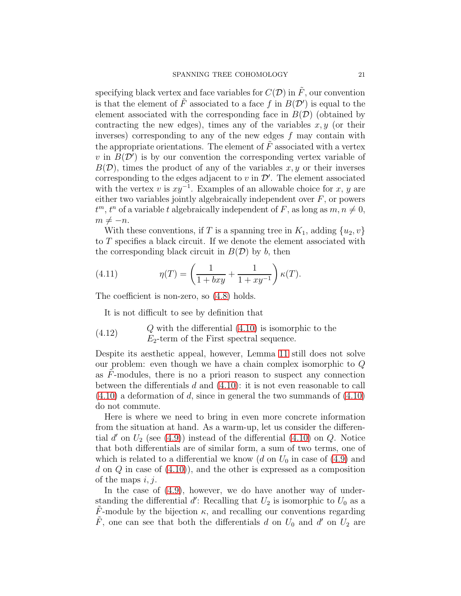specifying black vertex and face variables for  $C(\mathcal{D})$  in  $\tilde{F}$ , our convention is that the element of  $\tilde{F}$  associated to a face f in  $B(D')$  is equal to the element associated with the corresponding face in  $B(D)$  (obtained by contracting the new edges), times any of the variables  $x, y$  (or their inverses) corresponding to any of the new edges  $f$  may contain with the appropriate orientations. The element of  $\tilde{F}$  associated with a vertex v in  $B(D')$  is by our convention the corresponding vertex variable of  $B(D)$ , times the product of any of the variables x, y or their inverses corresponding to the edges adjacent to  $v$  in  $\mathcal{D}'$ . The element associated with the vertex v is  $xy^{-1}$ . Examples of an allowable choice for x, y are either two variables jointly algebraically independent over  $F$ , or powers  $t^m$ ,  $t^n$  of a variable t algebraically independent of F, as long as  $m, n \neq 0$ ,  $m \neq -n$ .

With these conventions, if T is a spanning tree in  $K_1$ , adding  $\{u_2, v\}$ to T specifies a black circuit. If we denote the element associated with the corresponding black circuit in  $B(\mathcal{D})$  by b, then

(4.11) 
$$
\eta(T) = \left(\frac{1}{1 + bxy} + \frac{1}{1 + xy^{-1}}\right) \kappa(T).
$$

The coefficient is non-zero, so [\(4.8\)](#page-18-1) holds.

<span id="page-20-0"></span>It is not difficult to see by definition that

(4.12) 
$$
Q \text{ with the differential } (4.10) \text{ is isomorphic to the}
$$

$$
E_2 \text{-term of the First spectral sequence.}
$$

Despite its aesthetic appeal, however, Lemma [11](#page-18-3) still does not solve our problem: even though we have a chain complex isomorphic to Q as  $F$ -modules, there is no a priori reason to suspect any connection between the differentials  $d$  and  $(4.10)$ : it is not even reasonable to call  $(4.10)$  a deformation of d, since in general the two summands of  $(4.10)$ do not commute.

Here is where we need to bring in even more concrete information from the situation at hand. As a warm-up, let us consider the differential  $d'$  on  $U_2$  (see [\(4.9\)](#page-18-4)) instead of the differential [\(4.10\)](#page-18-2) on  $Q$ . Notice that both differentials are of similar form, a sum of two terms, one of which is related to a differential we know  $(d \text{ on } U_0)$  in case of  $(4.9)$  and d on  $Q$  in case of  $(4.10)$ , and the other is expressed as a composition of the maps  $i, j$ .

In the case of  $(4.9)$ , however, we do have another way of understanding the differential  $d'$ : Recalling that  $U_2$  is isomorphic to  $U_0$  as a  $\tilde{F}$ -module by the bijection  $\kappa$ , and recalling our conventions regarding  $\tilde{F}$ , one can see that both the differentials d on  $U_0$  and d' on  $U_2$  are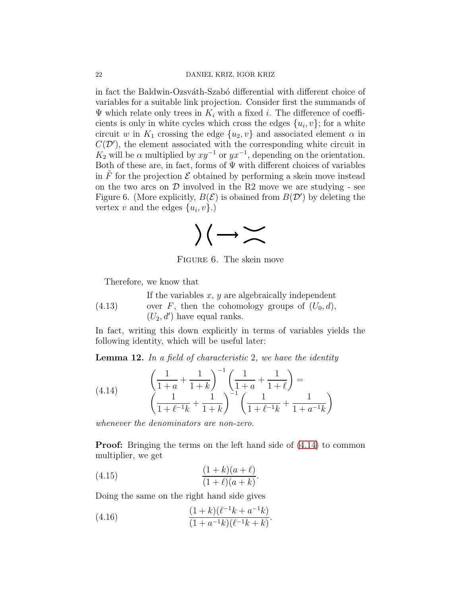in fact the Baldwin-Ozsváth-Szabó differential with different choice of variables for a suitable link projection. Consider first the summands of  $\Psi$  which relate only trees in  $K_i$  with a fixed i. The difference of coefficients is only in white cycles which cross the edges  $\{u_i, v\}$ ; for a white circuit w in  $K_1$  crossing the edge  $\{u_2, v\}$  and associated element  $\alpha$  in  $C(\mathcal{D}')$ , the element associated with the corresponding white circuit in  $K_2$  will be  $\alpha$  multiplied by  $xy^{-1}$  or  $yx^{-1}$ , depending on the orientation. Both of these are, in fact, forms of  $\Psi$  with different choices of variables in  $F$  for the projection  $\mathcal E$  obtained by performing a skein move instead on the two arcs on  $\mathcal D$  involved in the R2 move we are studying - see Figure 6. (More explicitly,  $B(\mathcal{E})$  is obained from  $B(\mathcal{D}')$  by deleting the vertex v and the edges  $\{u_i, v\}$ .)



Figure 6. The skein move

<span id="page-21-3"></span>Therefore, we know that

(4.13) If the variables  $x, y$  are algebraically independent over F, then the cohomology groups of  $(U_0, d)$ ,  $(U_2, d')$  have equal ranks.

In fact, writing this down explicitly in terms of variables yields the following identity, which will be useful later:

<span id="page-21-4"></span>**Lemma 12.** In a field of characteristic 2, we have the identity

<span id="page-21-0"></span>(4.14) 
$$
\left(\frac{1}{1+a} + \frac{1}{1+k}\right)^{-1} \left(\frac{1}{1+a} + \frac{1}{1+\ell}\right) = \left(\frac{1}{1+\ell^{-1}k} + \frac{1}{1+k}\right)^{-1} \left(\frac{1}{1+\ell^{-1}k} + \frac{1}{1+a^{-1}k}\right)
$$

whenever the denominators are non-zero.

**Proof:** Bringing the terms on the left hand side of  $(4.14)$  to common multiplier, we get

<span id="page-21-1"></span>(4.15) 
$$
\frac{(1+k)(a+\ell)}{(1+\ell)(a+k)}.
$$

Doing the same on the right hand side gives

<span id="page-21-2"></span>(4.16) 
$$
\frac{(1+k)(\ell^{-1}k + a^{-1}k)}{(1+a^{-1}k)(\ell^{-1}k + k)}.
$$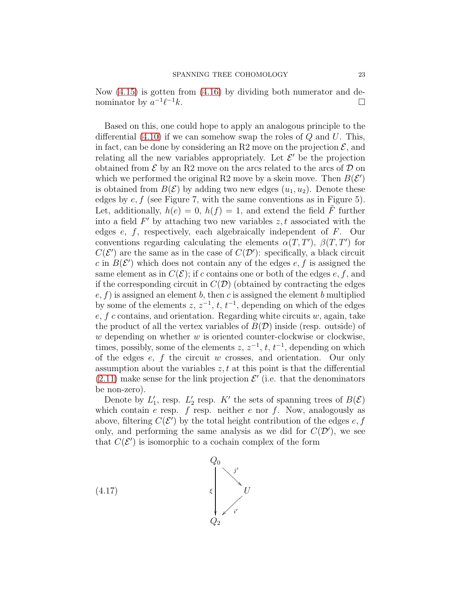Now [\(4.15\)](#page-21-1) is gotten from [\(4.16\)](#page-21-2) by dividing both numerator and denominator by  $a^{-1}\ell$  $-1k$ .

Based on this, one could hope to apply an analogous principle to the differential  $(4.10)$  if we can somehow swap the roles of Q and U. This, in fact, can be done by considering an R2 move on the projection  $\mathcal{E}$ , and relating all the new variables appropriately. Let  $\mathcal{E}'$  be the projection obtained from  $\mathcal E$  by an R2 move on the arcs related to the arcs of  $\mathcal D$  on which we performed the original R2 move by a skein move. Then  $B(\mathcal{E}')$ is obtained from  $B(\mathcal{E})$  by adding two new edges  $(u_1, u_2)$ . Denote these edges by  $e, f$  (see Figure 7, with the same conventions as in Figure 5). Let, additionally,  $h(e) = 0$ ,  $h(f) = 1$ , and extend the field  $\tilde{F}$  further into a field  $F'$  by attaching two new variables  $z, t$  associated with the edges e, f, respectively, each algebraically independent of F. Our conventions regarding calculating the elements  $\alpha(T, T')$ ,  $\beta(T, T')$  for  $C(\mathcal{E}')$  are the same as in the case of  $C(\mathcal{D}')$ : specifically, a black circuit c in  $B(\mathcal{E}')$  which does not contain any of the edges  $e, f$  is assigned the same element as in  $C(\mathcal{E})$ ; if c contains one or both of the edges e, f, and if the corresponding circuit in  $C(\mathcal{D})$  (obtained by contracting the edges  $e, f$ ) is assigned an element b, then c is assigned the element b multiplied by some of the elements  $z, z^{-1}, t, t^{-1}$ , depending on which of the edges  $e, f$  c contains, and orientation. Regarding white circuits w, again, take the product of all the vertex variables of  $B(D)$  inside (resp. outside) of  $w$  depending on whether  $w$  is oriented counter-clockwise or clockwise, times, possibly, some of the elements  $z, z^{-1}, t, t^{-1}$ , depending on which of the edges  $e$ ,  $f$  the circuit  $w$  crosses, and orientation. Our only assumption about the variables  $z, t$  at this point is that the differential  $(2.11)$  make sense for the link projection  $\mathcal{E}'$  (i.e. that the denominators be non-zero).

Denote by  $L'_1$ , resp.  $L'_2$  resp. K' the sets of spanning trees of  $B(\mathcal{E})$ which contain e resp. f resp. neither e nor f. Now, analogously as above, filtering  $C(\mathcal{E}')$  by the total height contribution of the edges  $e, f$ only, and performing the same analysis as we did for  $C(\mathcal{D}')$ , we see that  $C(\mathcal{E}')$  is isomorphic to a cochain complex of the form

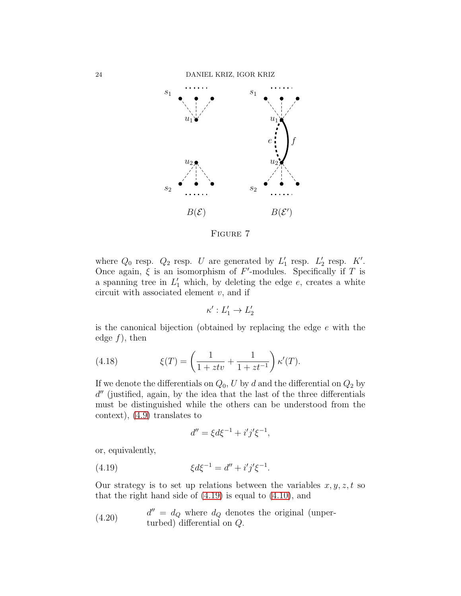

FIGURE 7

where  $Q_0$  resp.  $Q_2$  resp. U are generated by  $L'_1$  resp.  $L'_2$  resp. K'. Once again,  $\xi$  is an isomorphism of F'-modules. Specifically if T is a spanning tree in  $L'_1$  which, by deleting the edge  $e$ , creates a white circuit with associated element  $v$ , and if

$$
\kappa':L_1'\to L_2'
$$

is the canonical bijection (obtained by replacing the edge e with the edge  $f$ , then

(4.18) 
$$
\xi(T) = \left(\frac{1}{1+ztv} + \frac{1}{1+zt^{-1}}\right) \kappa'(T).
$$

If we denote the differentials on  $Q_0$ , U by d and the differential on  $Q_2$  by d'' (justified, again, by the idea that the last of the three differentials must be distinguished while the others can be understood from the context), [\(4.9\)](#page-18-4) translates to

<span id="page-23-0"></span>
$$
d'' = \xi d\xi^{-1} + i'j'\xi^{-1},
$$

or, equivalently,

(4.19) 
$$
\xi d\xi^{-1} = d'' + i'j'\xi^{-1}.
$$

Our strategy is to set up relations between the variables  $x, y, z, t$  so that the right hand side of  $(4.19)$  is equal to  $(4.10)$ , and

<span id="page-23-1"></span>(4.20) 
$$
d'' = d_Q
$$
 where  $d_Q$  denotes the original (unper-  
turbed) differential on Q.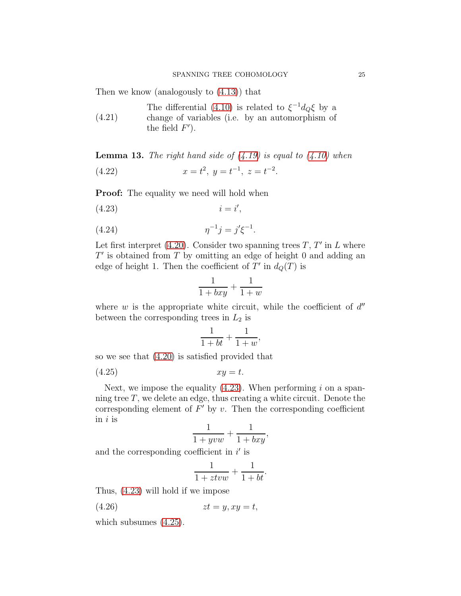Then we know (analogously to [\(4.13\)](#page-21-3)) that

<span id="page-24-5"></span>The differential [\(4.10\)](#page-18-2) is related to  $\xi^{-1}d_Q\xi$  by a change of variables (i.e. by an automorphism of

(4.21) the field  $F'$ ).

<span id="page-24-6"></span>**Lemma 13.** The right hand side of  $(4.19)$  is equal to  $(4.10)$  when

<span id="page-24-3"></span>(4.22) 
$$
x = t^2, y = t^{-1}, z = t^{-2}.
$$

**Proof:** The equality we need will hold when

$$
(4.23) \t\t i = i',
$$

(4.24) 
$$
\eta^{-1}j = j'\xi^{-1}.
$$

Let first interpret  $(4.20)$ . Consider two spanning trees T, T' in L where  $T'$  is obtained from  $T$  by omitting an edge of height 0 and adding an edge of height 1. Then the coefficient of  $T'$  in  $d_Q(T)$  is

<span id="page-24-2"></span><span id="page-24-0"></span>
$$
\frac{1}{1 + bxy} + \frac{1}{1 + w}
$$

where  $w$  is the appropriate white circuit, while the coefficient of  $d''$ between the corresponding trees in  $L_2$  is

<span id="page-24-1"></span>
$$
\frac{1}{1+bt} + \frac{1}{1+w},
$$

so we see that [\(4.20\)](#page-23-1) is satisfied provided that

$$
(4.25) \t\t xy = t.
$$

Next, we impose the equality  $(4.23)$ . When performing i on a spanning tree  $T$ , we delete an edge, thus creating a white circuit. Denote the corresponding element of  $F'$  by  $v$ . Then the corresponding coefficient in  $i$  is

$$
\frac{1}{1+yvw} + \frac{1}{1+bxy},
$$

and the corresponding coefficient in  $i'$  is

<span id="page-24-4"></span>
$$
\frac{1}{1+ztvw} + \frac{1}{1+bt}.
$$

Thus, [\(4.23\)](#page-24-0) will hold if we impose

$$
(4.26) \t zt = y, xy = t,
$$

which subsumes [\(4.25\)](#page-24-1).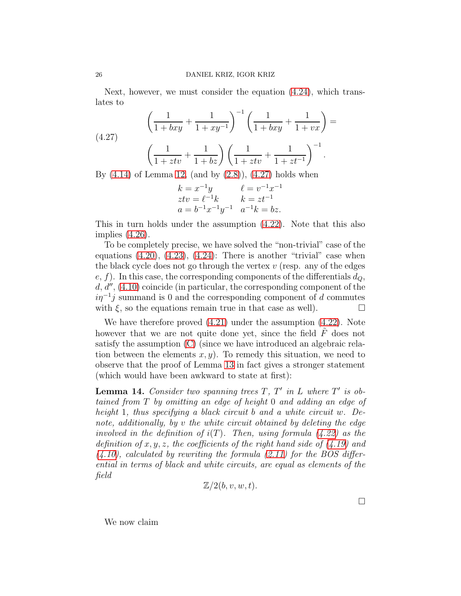Next, however, we must consider the equation [\(4.24\)](#page-24-2), which translates to

<span id="page-25-0"></span>(4.27) 
$$
\left(\frac{1}{1 + bxy} + \frac{1}{1 + xy^{-1}}\right)^{-1} \left(\frac{1}{1 + bxy} + \frac{1}{1 + vx}\right) = \left(\frac{1}{1 + ztv} + \frac{1}{1 + bz}\right) \left(\frac{1}{1 + ztv} + \frac{1}{1 + zt^{-1}}\right)^{-1}.
$$

By  $(4.14)$  of Lemma [12,](#page-21-4)  $(and by (2.8)), (4.27)$  $(and by (2.8)), (4.27)$  $(and by (2.8)), (4.27)$  $(and by (2.8)), (4.27)$  holds when

$$
k = x^{-1}y
$$
  
\n
$$
ztv = \ell^{-1}k
$$
  
\n
$$
a = b^{-1}x^{-1}y^{-1}
$$
  
\n
$$
k = zt^{-1}
$$
  
\n
$$
a^{-1}k = bz
$$

This in turn holds under the assumption [\(4.22\)](#page-24-3). Note that this also implies [\(4.26\)](#page-24-4).

To be completely precise, we have solved the "non-trivial" case of the equations  $(4.20)$ ,  $(4.23)$ ,  $(4.24)$ : There is another "trivial" case when the black cycle does not go through the vertex  $v$  (resp. any of the edges  $e, f$ ). In this case, the corresponding components of the differentials  $d_Q$ ,  $d, d'', (4.10)$  $d, d'', (4.10)$  coincide (in particular, the corresponding component of the  $i\eta^{-1}j$  summand is 0 and the corresponding component of d commutes with  $\xi$ , so the equations remain true in that case as well).

We have therefore proved [\(4.21\)](#page-24-5) under the assumption [\(4.22\)](#page-24-3). Note however that we are not quite done yet, since the field  $F$  does not satisfy the assumption [\(C\)](#page-7-1) (since we have introduced an algebraic relation between the elements  $x, y$ . To remedy this situation, we need to observe that the proof of Lemma [13](#page-24-6) in fact gives a stronger statement (which would have been awkward to state at first):

<span id="page-25-1"></span>**Lemma 14.** Consider two spanning trees  $T$ ,  $T'$  in  $L$  where  $T'$  is obtained from T by omitting an edge of height 0 and adding an edge of height 1, thus specifying a black circuit b and a white circuit w. Denote, additionally, by v the white circuit obtained by deleting the edge involved in the definition of  $i(T)$ . Then, using formula [\(4.22\)](#page-24-3) as the definition of x, y, z, the coefficients of the right hand side of  $(4.19)$  and  $(4.10)$ , calculated by rewriting the formula  $(2.11)$  for the BOS differential in terms of black and white circuits, are equal as elements of the field

$$
\mathbb{Z}/2(b, v, w, t).
$$

We now claim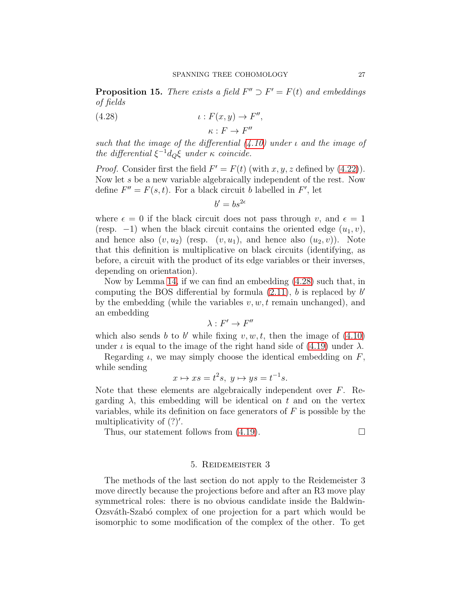**Proposition 15.** There exists a field  $F'' \supset F' = F(t)$  and embeddings of fields

(4.28) 
$$
\iota: F(x, y) \to F'',
$$

$$
\kappa: F \to F''
$$

such that the image of the differential  $(4.10)$  under  $\iota$  and the image of the differential  $\xi^{-1}d_Q\xi$  under  $\kappa$  coincide.

*Proof.* Consider first the field  $F' = F(t)$  (with x, y, z defined by [\(4.22\)](#page-24-3)). Now let s be a new variable algebraically independent of the rest. Now define  $F'' = F(s, t)$ . For a black circuit b labelled in F', let

<span id="page-26-1"></span> $b' = bs^{2\epsilon}$ 

where  $\epsilon = 0$  if the black circuit does not pass through v, and  $\epsilon = 1$ (resp.  $-1$ ) when the black circuit contains the oriented edge  $(u_1, v)$ , and hence also  $(v, u_2)$  (resp.  $(v, u_1)$ , and hence also  $(u_2, v)$ ). Note that this definition is multiplicative on black circuits (identifying, as before, a circuit with the product of its edge variables or their inverses, depending on orientation).

Now by Lemma [14,](#page-25-1) if we can find an embedding [\(4.28\)](#page-26-1) such that, in computing the BOS differential by formula  $(2.11)$ , *b* is replaced by *b'* by the embedding (while the variables  $v, w, t$  remain unchanged), and an embedding

$$
\lambda: F' \to F''
$$

which also sends b to b' while fixing  $v, w, t$ , then the image of  $(4.10)$ under  $\iota$  is equal to the image of the right hand side of [\(4.19\)](#page-23-0) under  $\lambda$ .

Regarding  $\iota$ , we may simply choose the identical embedding on  $F$ , while sending

$$
x \mapsto xs = t^2s, \ y \mapsto ys = t^{-1}s.
$$

Note that these elements are algebraically independent over F. Regarding  $\lambda$ , this embedding will be identical on t and on the vertex variables, while its definition on face generators of  $F$  is possible by the multiplicativity of  $(?)'$ .

<span id="page-26-0"></span>Thus, our statement follows from  $(4.19)$ .

## 5. Reidemeister 3

The methods of the last section do not apply to the Reidemeister 3 move directly because the projections before and after an R3 move play symmetrical roles: there is no obvious candidate inside the Baldwin-Ozsváth-Szabó complex of one projection for a part which would be isomorphic to some modification of the complex of the other. To get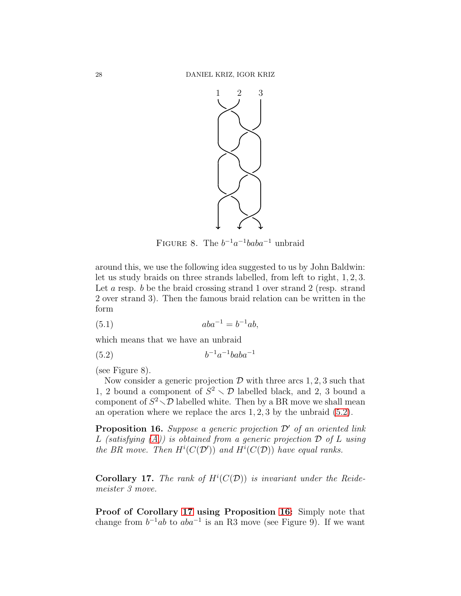

FIGURE 8. The  $b^{-1}a^{-1}baba^{-1}$  unbraid

around this, we use the following idea suggested to us by John Baldwin: let us study braids on three strands labelled, from left to right, 1, 2, 3. Let a resp. b be the braid crossing strand 1 over strand 2 (resp. strand 2 over strand 3). Then the famous braid relation can be written in the form

(5.1) 
$$
aba^{-1} = b^{-1}ab,
$$

which means that we have an unbraid

<span id="page-27-0"></span>
$$
(5.2) \t\t b^{-1}a^{-1}baba^{-1}
$$

(see Figure 8).

Now consider a generic projection  $D$  with three arcs 1, 2, 3 such that 1, 2 bound a component of  $S^2 \setminus \mathcal{D}$  labelled black, and 2, 3 bound a component of  $S^2 \setminus \mathcal{D}$  labelled white. Then by a BR move we shall mean an operation where we replace the arcs 1, 2, 3 by the unbraid [\(5.2\)](#page-27-0).

<span id="page-27-2"></span>**Proposition 16.** Suppose a generic projection  $\mathcal{D}'$  of an oriented link L (satisfying  $(A)$ ) is obtained from a generic projection  $D$  of L using the BR move. Then  $H^i(C(\mathcal{D}'))$  and  $H^i(C(\mathcal{D}))$  have equal ranks.

<span id="page-27-1"></span>**Corollary 17.** The rank of  $H^i(C(\mathcal{D}))$  is invariant under the Reidemeister 3 move.

Proof of Corollary [17](#page-27-1) using Proposition [16:](#page-27-2) Simply note that change from  $b^{-1}ab$  to  $aba^{-1}$  is an R3 move (see Figure 9). If we want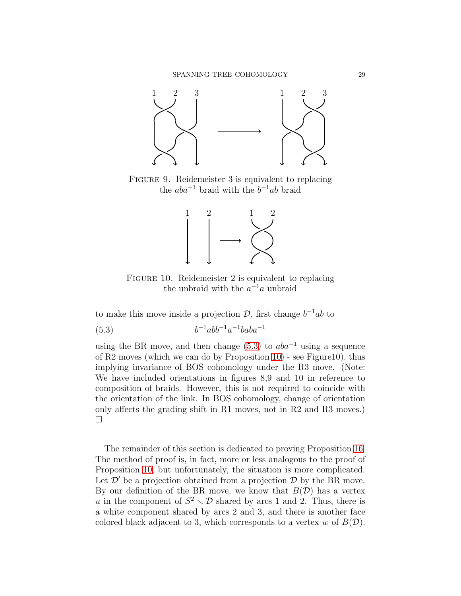

FIGURE 9. Reidemeister 3 is equivalent to replacing the  $aba^{-1}$  braid with the  $b^{-1}ab$  braid



<span id="page-28-0"></span>FIGURE 10. Reidemeister 2 is equivalent to replacing the unbraid with the  $a^{-1}a$  unbraid

to make this move inside a projection  $\mathcal{D}$ , first change  $b^{-1}ab$  to

$$
(5.3) \t\t b^{-1}abb^{-1}a^{-1}bab^{-1}
$$

using the BR move, and then change [\(5.3\)](#page-28-0) to  $aba^{-1}$  using a sequence of  $R2$  moves (which we can do by Proposition [10\)](#page-15-0) - see Figure10), thus implying invariance of BOS cohomology under the R3 move. (Note: We have included orientations in figures 8,9 and 10 in reference to composition of braids. However, this is not required to coincide with the orientation of the link. In BOS cohomology, change of orientation only affects the grading shift in R1 moves, not in R2 and R3 moves.)  $\Box$ 

The remainder of this section is dedicated to proving Proposition [16.](#page-27-2) The method of proof is, in fact, more or less analogous to the proof of Proposition [10,](#page-15-0) but unfortunately, the situation is more complicated. Let  $\mathcal{D}'$  be a projection obtained from a projection  $\mathcal{D}$  by the BR move. By our definition of the BR move, we know that  $B(\mathcal{D})$  has a vertex u in the component of  $S^2 \setminus \mathcal{D}$  shared by arcs 1 and 2. Thus, there is a white component shared by arcs 2 and 3, and there is another face colored black adjacent to 3, which corresponds to a vertex w of  $B(D)$ .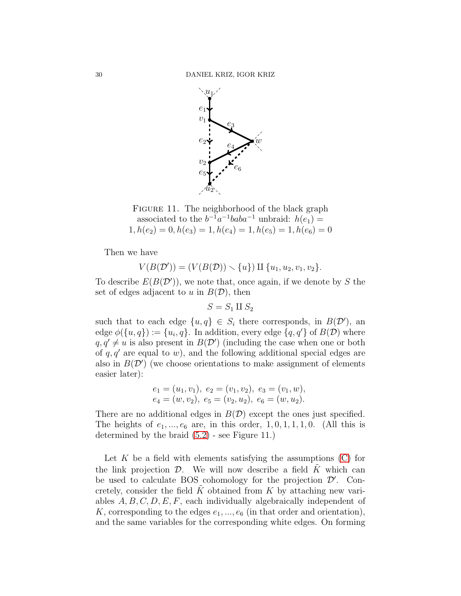

FIGURE 11. The neighborhood of the black graph associated to the  $b^{-1}a^{-1}baba^{-1}$  unbraid:  $h(e_1)$  =  $1, h(e_2) = 0, h(e_3) = 1, h(e_4) = 1, h(e_5) = 1, h(e_6) = 0$ 

Then we have

$$
V(B(\mathcal{D}')) = (V(B(\mathcal{D})) \setminus \{u\}) \amalg \{u_1, u_2, v_1, v_2\}.
$$

To describe  $E(B(D'))$ , we note that, once again, if we denote by S the set of edges adjacent to u in  $B(D)$ , then

$$
S = S_1 \amalg S_2
$$

such that to each edge  $\{u, q\} \in S_i$  there corresponds, in  $B(D')$ , and edge  $\phi({u, q}) := {u_i, q}$ . In addition, every edge  ${q, q'}$  of  $B(\mathcal{D})$  where  $q, q' \neq u$  is also present in  $B(D')$  (including the case when one or both of  $q, q'$  are equal to w), and the following additional special edges are also in  $B(D')$  (we choose orientations to make assignment of elements easier later):

$$
e_1 = (u_1, v_1), e_2 = (v_1, v_2), e_3 = (v_1, w),
$$
  

$$
e_4 = (w, v_2), e_5 = (v_2, u_2), e_6 = (w, u_2).
$$

There are no additional edges in  $B(D)$  except the ones just specified. The heights of  $e_1, \ldots, e_6$  are, in this order,  $1, 0, 1, 1, 1, 0$ . (All this is determined by the braid [\(5.2\)](#page-27-0) - see Figure 11.)

Let  $K$  be a field with elements satisfying the assumptions  $(C)$  for the link projection  $\mathcal{D}$ . We will now describe a field K which can be used to calculate BOS cohomology for the projection  $\mathcal{D}'$ . Concretely, consider the field  $K$  obtained from  $K$  by attaching new variables  $A, B, C, D, E, F$ , each individually algebraically independent of K, corresponding to the edges  $e_1, ..., e_6$  (in that order and orientation), and the same variables for the corresponding white edges. On forming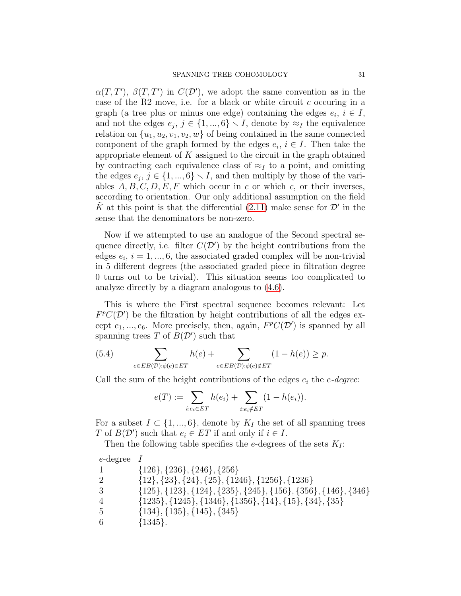$\alpha(T, T')$ ,  $\beta(T, T')$  in  $C(\mathcal{D}')$ , we adopt the same convention as in the case of the R2 move, i.e. for a black or white circuit  $c$  occuring in a graph (a tree plus or minus one edge) containing the edges  $e_i$ ,  $i \in I$ , and not the edges  $e_j$ ,  $j \in \{1, ..., 6\} \setminus I$ , denote by  $\approx_I$  the equivalence relation on  $\{u_1, u_2, v_1, v_2, w\}$  of being contained in the same connected component of the graph formed by the edges  $e_i, i \in I$ . Then take the appropriate element of  $K$  assigned to the circuit in the graph obtained by contracting each equivalence class of  $\approx_I$  to a point, and omitting the edges  $e_j, j \in \{1, ..., 6\} \setminus I$ , and then multiply by those of the variables  $A, B, C, D, E, F$  which occur in c or which c, or their inverses, according to orientation. Our only additional assumption on the field  $\tilde{K}$  at this point is that the differential [\(2.11\)](#page-7-0) make sense for  $\mathcal{D}'$  in the sense that the denominators be non-zero.

Now if we attempted to use an analogue of the Second spectral sequence directly, i.e. filter  $C(\mathcal{D}')$  by the height contributions from the edges  $e_i$ ,  $i = 1, ..., 6$ , the associated graded complex will be non-trivial in 5 different degrees (the associated graded piece in filtration degree 0 turns out to be trivial). This situation seems too complicated to analyze directly by a diagram analogous to [\(4.6\)](#page-17-0).

This is where the First spectral sequence becomes relevant: Let  $F^pC(\mathcal{D}')$  be the filtration by height contributions of all the edges except  $e_1, ..., e_6$ . More precisely, then, again,  $F^pC(\mathcal{D}')$  is spanned by all spanning trees T of  $B(D')$  such that

(5.4) 
$$
\sum_{e \in EB(\mathcal{D}): \phi(e) \in ET} h(e) + \sum_{e \in EB(\mathcal{D}): \phi(e) \notin ET} (1 - h(e)) \ge p.
$$

Call the sum of the height contributions of the edges  $e_i$  the  $e$ -degree:

$$
e(T) := \sum_{i:e_i \in ET} h(e_i) + \sum_{i:e_i \notin ET} (1 - h(e_i)).
$$

For a subset  $I \subset \{1, ..., 6\}$ , denote by  $K_I$  the set of all spanning trees T of  $B(\mathcal{D}')$  such that  $e_i \in ET$  if and only if  $i \in I$ .

Then the following table specifies the e-degrees of the sets  $K_I$ :

| $e$ -degree $I$             |                                                                                   |
|-----------------------------|-----------------------------------------------------------------------------------|
|                             | $\{126\}, \{236\}, \{246\}, \{256\}$                                              |
| $\mathcal{D}_{\mathcal{L}}$ | $\{12\}, \{23\}, \{24\}, \{25\}, \{1246\}, \{1256\}, \{1236\}$                    |
| 3                           | $\{125\}, \{123\}, \{124\}, \{235\}, \{245\}, \{156\}, \{356\}, \{146\}, \{346\}$ |
| $\overline{4}$              | $\{1235\}, \{1245\}, \{1346\}, \{1356\}, \{14\}, \{15\}, \{34\}, \{35\}$          |
| 5                           | $\{134\}, \{135\}, \{145\}, \{345\}$                                              |
| 6                           | ${1345}.$                                                                         |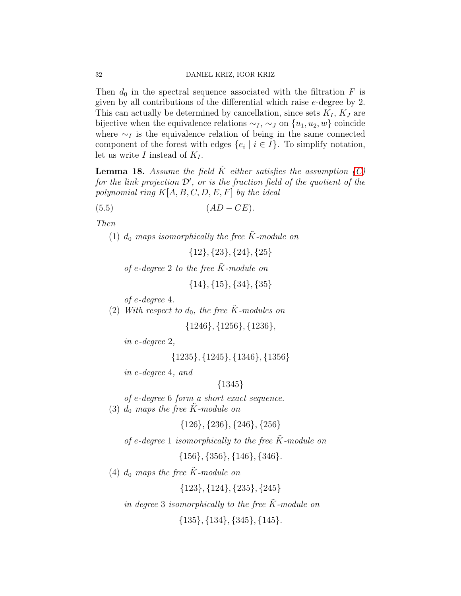Then  $d_0$  in the spectral sequence associated with the filtration F is given by all contributions of the differential which raise e-degree by 2. This can actually be determined by cancellation, since sets  $K_I$ ,  $K_J$  are bijective when the equivalence relations  $\sim_I$ ,  $\sim_J$  on  $\{u_1, u_2, w\}$  coincide where  $\sim_I$  is the equivalence relation of being in the same connected component of the forest with edges  $\{e_i \mid i \in I\}$ . To simplify notation, let us write I instead of  $K_I$ .

<span id="page-31-3"></span>**Lemma 18.** Assume the field  $\tilde{K}$  either satisfies the assumption [\(C\)](#page-7-1) for the link projection  $\mathcal{D}'$ , or is the fraction field of the quotient of the polynomial ring  $K[A, B, C, D, E, F]$  by the ideal

$$
(5.5) \t\t (AD - CE).
$$

<span id="page-31-0"></span>Then

(1)  $d_0$  maps isomorphically the free  $\tilde{K}$ -module on

<span id="page-31-2"></span>{12}, {23}, {24}, {25}

of e-degree 2 to the free  $\tilde{K}$ -module on

{14}, {15}, {34}, {35}

of e-degree 4.

(2) With respect to  $d_0$ , the free  $\tilde{K}$ -modules on

{1246}, {1256}, {1236},

in e-degree 2,

{1235}, {1245}, {1346}, {1356}

in e-degree 4, and

# {1345}

of e-degree 6 form a short exact sequence.

<span id="page-31-1"></span>(3)  $d_0$  maps the free K-module on

{126}, {236}, {246}, {256}

of e-degree 1 isomorphically to the free  $\tilde{K}$ -module on

{156}, {356}, {146}, {346}.

(4)  $d_0$  maps the free  $\tilde{K}$ -module on

{123}, {124}, {235}, {245}

in degree 3 isomorphically to the free  $\tilde{K}$ -module on

 $\{135\}, \{134\}, \{345\}, \{145\}.$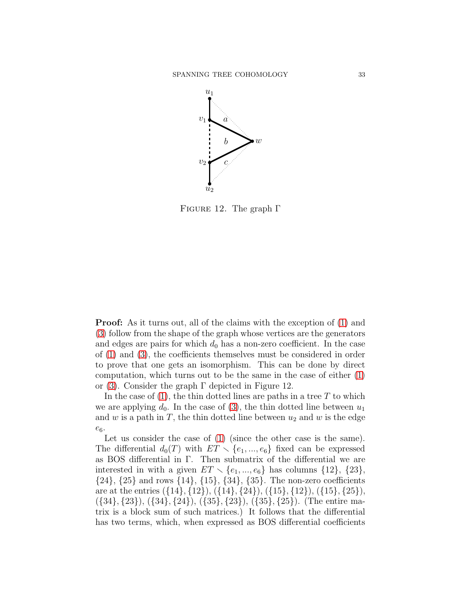

FIGURE 12. The graph  $\Gamma$ 

**Proof:** As it turns out, all of the claims with the exception of [\(1\)](#page-31-0) and [\(3\)](#page-31-1) follow from the shape of the graph whose vertices are the generators and edges are pairs for which  $d_0$  has a non-zero coefficient. In the case of [\(1\)](#page-31-0) and [\(3\)](#page-31-1), the coefficients themselves must be considered in order to prove that one gets an isomorphism. This can be done by direct computation, which turns out to be the same in the case of either [\(1\)](#page-31-0) or [\(3\)](#page-31-1). Consider the graph  $\Gamma$  depicted in Figure 12.

In the case of  $(1)$ , the thin dotted lines are paths in a tree T to which we are applying  $d_0$ . In the case of [\(3\)](#page-31-1), the thin dotted line between  $u_1$ and w is a path in  $T$ , the thin dotted line between  $u_2$  and w is the edge  $e_6$ .

Let us consider the case of [\(1\)](#page-31-0) (since the other case is the same). The differential  $d_0(T)$  with  $ET \setminus \{e_1, ..., e_6\}$  fixed can be expressed as BOS differential in Γ. Then submatrix of the differential we are interested in with a given  $ET \setminus \{e_1, ..., e_6\}$  has columns  $\{12\}, \{23\},$  $\{24\}, \{25\}$  and rows  $\{14\}, \{15\}, \{34\}, \{35\}.$  The non-zero coefficients are at the entries  $({14}, {12}), ({14}, {24}), ({15}, {12}), ({15}, {25}),$  $({34}, {23}), ({34}, {24}), ({35}, {23}), ({35}, {25}).$  (The entire matrix is a block sum of such matrices.) It follows that the differential has two terms, which, when expressed as BOS differential coefficients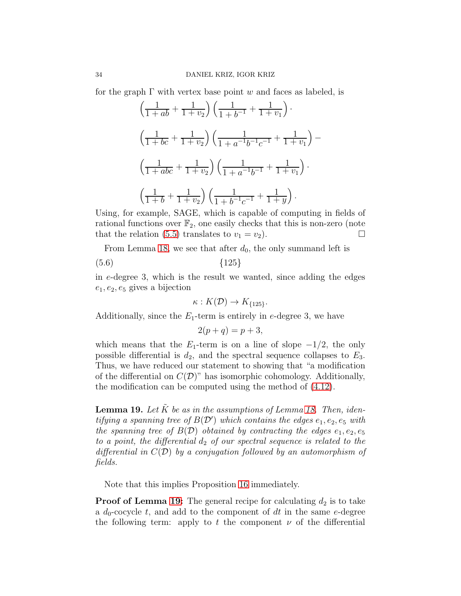for the graph  $\Gamma$  with vertex base point w and faces as labeled, is

$$
\left(\frac{1}{1+ab} + \frac{1}{1+v_2}\right)\left(\frac{1}{1+b^{-1}} + \frac{1}{1+v_1}\right) \cdot \left(\frac{1}{1+bc} + \frac{1}{1+v_2}\right)\left(\frac{1}{1+a^{-1}b^{-1}c^{-1}} + \frac{1}{1+v_1}\right) - \left(\frac{1}{1+abc} + \frac{1}{1+v_2}\right)\left(\frac{1}{1+a^{-1}b^{-1}} + \frac{1}{1+v_1}\right) \cdot \left(\frac{1}{1+b} + \frac{1}{1+v_2}\right)\left(\frac{1}{1+b^{-1}c^{-1}} + \frac{1}{1+y}\right).
$$

Using, for example, SAGE, which is capable of computing in fields of rational functions over  $\mathbb{F}_2$ , one easily checks that this is non-zero (note that the relation [\(5.5\)](#page-31-2) translates to  $v_1 = v_2$ ).

From Lemma [18,](#page-31-3) we see that after  $d_0$ , the only summand left is

(5.6) {125}

in e-degree 3, which is the result we wanted, since adding the edges  $e_1, e_2, e_5$  gives a bijection

$$
\kappa: K(\mathcal{D}) \to K_{\{125\}}.
$$

Additionally, since the  $E_1$ -term is entirely in e-degree 3, we have

$$
2(p+q) = p+3,
$$

which means that the  $E_1$ -term is on a line of slope  $-1/2$ , the only possible differential is  $d_2$ , and the spectral sequence collapses to  $E_3$ . Thus, we have reduced our statement to showing that "a modification of the differential on  $C(\mathcal{D})^n$  has isomorphic cohomology. Additionally, the modification can be computed using the method of [\(4.12\)](#page-20-0).

<span id="page-33-0"></span>**Lemma 19.** Let  $\tilde{K}$  be as in the assumptions of Lemma [18.](#page-31-3) Then, identifying a spanning tree of  $B(D')$  which contains the edges  $e_1, e_2, e_5$  with the spanning tree of  $B(D)$  obtained by contracting the edges  $e_1, e_2, e_5$ to a point, the differential  $d_2$  of our spectral sequence is related to the differential in  $C(\mathcal{D})$  by a conjugation followed by an automorphism of fields.

Note that this implies Proposition [16](#page-27-2) immediately.

**Proof of Lemma [19:](#page-33-0)** The general recipe for calculating  $d_2$  is to take a  $d_0$ -cocycle t, and add to the component of dt in the same e-degree the following term: apply to t the component  $\nu$  of the differential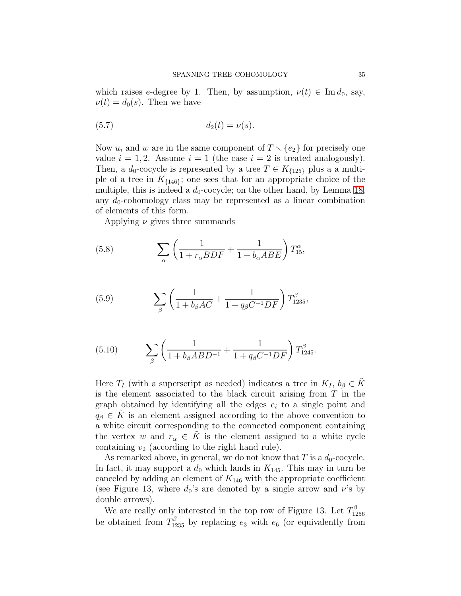which raises e-degree by 1. Then, by assumption,  $\nu(t) \in \text{Im } d_0$ , say,  $\nu(t) = d_0(s)$ . Then we have

$$
(5.7) \t\t d_2(t) = \nu(s).
$$

Now  $u_i$  and  $w$  are in the same component of  $T \setminus \{e_2\}$  for precisely one value  $i = 1, 2$ . Assume  $i = 1$  (the case  $i = 2$  is treated analogously). Then, a  $d_0$ -cocycle is represented by a tree  $T \in K_{\{125\}}$  plus a a multiple of a tree in  $K_{\{146\}}$ ; one sees that for an appropriate choice of the multiple, this is indeed a  $d_0$ -cocycle; on the other hand, by Lemma [18,](#page-31-3) any  $d_0$ -cohomology class may be represented as a linear combination of elements of this form.

Applying  $\nu$  gives three summands

(5.8) 
$$
\sum_{\alpha} \left( \frac{1}{1 + r_{\alpha} BDF} + \frac{1}{1 + b_{\alpha} ABE} \right) T_{15}^{\alpha},
$$

(5.9) 
$$
\sum_{\beta} \left( \frac{1}{1 + b_{\beta}AC} + \frac{1}{1 + q_{\beta}C^{-1}DF} \right) T_{1235}^{\beta},
$$

(5.10) 
$$
\sum_{\beta} \left( \frac{1}{1 + b_{\beta} A B D^{-1}} + \frac{1}{1 + q_{\beta} C^{-1} D F} \right) T_{1245}^{\beta}.
$$

Here  $T_I$  (with a superscript as needed) indicates a tree in  $K_I$ ,  $b_\beta \in K$ is the element associated to the black circuit arising from T in the graph obtained by identifying all the edges  $e_i$  to a single point and  $q_\beta \in K$  is an element assigned according to the above convention to a white circuit corresponding to the connected component containing the vertex w and  $r_{\alpha} \in K$  is the element assigned to a white cycle containing  $v_2$  (according to the right hand rule).

As remarked above, in general, we do not know that T is a  $d_0$ -cocycle. In fact, it may support a  $d_0$  which lands in  $K_{145}$ . This may in turn be canceled by adding an element of  $K_{146}$  with the appropriate coefficient (see Figure 13, where  $d_0$ 's are denoted by a single arrow and  $\nu$ 's by double arrows).

We are really only interested in the top row of Figure 13. Let  $T_{12}^{\beta}$ 1256 be obtained from  $T_{1235}^{\beta}$  by replacing  $e_3$  with  $e_6$  (or equivalently from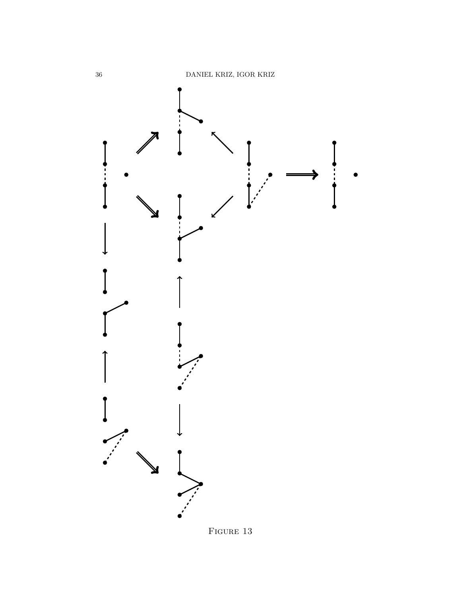

FIGURE 13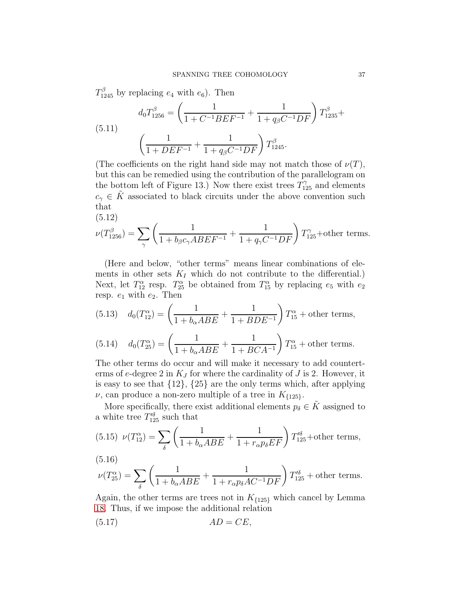$T_{1245}^{\beta}$  by replacing  $e_4$  with  $e_6$ ). Then

(5.11) 
$$
d_0 T_{1256}^{\beta} = \left(\frac{1}{1 + C^{-1} B E F^{-1}} + \frac{1}{1 + q_{\beta} C^{-1} D F}\right) T_{1235}^{\beta} + \left(\frac{1}{1 + D E F^{-1}} + \frac{1}{1 + q_{\beta} C^{-1} D F}\right) T_{1245}^{\beta}.
$$

(The coefficients on the right hand side may not match those of  $\nu(T)$ , but this can be remedied using the contribution of the parallelogram on the bottom left of Figure 13.) Now there exist trees  $T_{125}^{\gamma}$  and elements  $c_{\gamma} \in K$  associated to black circuits under the above convention such that (5.12)

$$
\nu(T_{1256}^{\beta}) = \sum_{\gamma} \left( \frac{1}{1 + b_{\beta} c_{\gamma} A B E F^{-1}} + \frac{1}{1 + q_{\gamma} C^{-1} D F} \right) T_{125}^{\gamma} + \text{other terms.}
$$

(Here and below, "other terms" means linear combinations of elements in other sets  $K_I$  which do not contribute to the differential.) Next, let  $T_{12}^{\alpha}$  resp.  $T_{25}^{\alpha}$  be obtained from  $T_{15}^{\alpha}$  by replacing  $e_5$  with  $e_2$ resp.  $e_1$  with  $e_2$ . Then

(5.13) 
$$
d_0(T_{12}^{\alpha}) = \left(\frac{1}{1 + b_{\alpha}ABE} + \frac{1}{1 + BDE^{-1}}\right)T_{15}^{\alpha} + \text{other terms},
$$

(5.14) 
$$
d_0(T_{25}^{\alpha}) = \left(\frac{1}{1 + b_{\alpha}ABE} + \frac{1}{1 + BCA^{-1}}\right)T_{15}^{\alpha} + \text{other terms.}
$$

The other terms do occur and will make it necessary to add counterterms of e-degree 2 in  $K_J$  for where the cardinality of J is 2. However, it is easy to see that  $\{12\}$ ,  $\{25\}$  are the only terms which, after applying  $\nu$ , can produce a non-zero multiple of a tree in  $K_{\{125\}}$ .

More specifically, there exist additional elements  $p_{\delta} \in \tilde{K}$  assigned to a white tree  $T_{125}^{\prime \delta}$  such that

(5.15) 
$$
\nu(T_{12}^{\alpha}) = \sum_{\delta} \left( \frac{1}{1 + b_{\alpha} ABE} + \frac{1}{1 + r_{\alpha} p_{\delta} EF} \right) T_{125}^{\prime \delta} + \text{other terms},
$$

(5.16)

$$
\nu(T_{25}^{\alpha}) = \sum_{\delta} \left( \frac{1}{1 + b_{\alpha} A B E} + \frac{1}{1 + r_{\alpha} p_{\delta} A C^{-1} D F} \right) T_{125}^{\prime \delta} + \text{other terms}.
$$

Again, the other terms are trees not in  $K_{\{125\}}$  which cancel by Lemma [18.](#page-31-3) Thus, if we impose the additional relation

<span id="page-36-0"></span>
$$
(5.17) \t AD = CE,
$$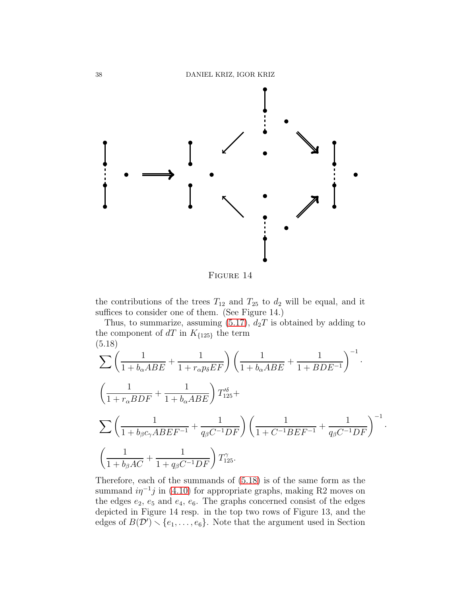

FIGURE 14

the contributions of the trees  $T_{12}$  and  $T_{25}$  to  $d_2$  will be equal, and it suffices to consider one of them. (See Figure 14.)

Thus, to summarize, assuming  $(5.17)$ ,  $d_2T$  is obtained by adding to the component of  $dT$  in  $K_{\{125\}}$  the term (5.18)

<span id="page-37-0"></span>
$$
\sum \left( \frac{1}{1 + b_{\alpha} A B E} + \frac{1}{1 + r_{\alpha} p_{\delta} E F} \right) \left( \frac{1}{1 + b_{\alpha} A B E} + \frac{1}{1 + B D E^{-1}} \right)^{-1}.
$$
  

$$
\left( \frac{1}{1 + r_{\alpha} B D F} + \frac{1}{1 + b_{\alpha} A B E} \right) T_{125}^{\prime \delta} +
$$
  

$$
\sum \left( \frac{1}{1 + b_{\beta} c_{\gamma} A B E F^{-1}} + \frac{1}{q_{\beta} C^{-1} D F} \right) \left( \frac{1}{1 + C^{-1} B E F^{-1}} + \frac{1}{q_{\beta} C^{-1} D F} \right)^{-1}
$$
  

$$
\left( \frac{1}{1 + b_{\beta} A C} + \frac{1}{1 + q_{\beta} C^{-1} D F} \right) T_{125}^{\gamma}.
$$

·

Therefore, each of the summands of [\(5.18\)](#page-37-0) is of the same form as the summand  $i\eta^{-1}j$  in [\(4.10\)](#page-18-2) for appropriate graphs, making R2 moves on the edges  $e_2$ ,  $e_5$  and  $e_4$ ,  $e_6$ . The graphs concerned consist of the edges depicted in Figure 14 resp. in the top two rows of Figure 13, and the edges of  $B(D') \setminus \{e_1, \ldots, e_6\}$ . Note that the argument used in Section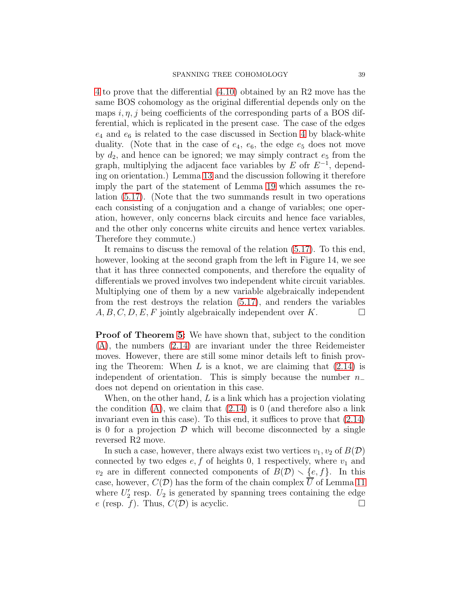[4](#page-13-0) to prove that the differential [\(4.10\)](#page-18-2) obtained by an R2 move has the same BOS cohomology as the original differential depends only on the maps i,  $\eta$ , j being coefficients of the corresponding parts of a BOS differential, which is replicated in the present case. The case of the edges  $e_4$  and  $e_6$  is related to the case discussed in Section [4](#page-13-0) by black-white duality. (Note that in the case of  $e_4$ ,  $e_6$ , the edge  $e_5$  does not move by  $d_2$ , and hence can be ignored; we may simply contract  $e_5$  from the graph, multiplying the adjacent face variables by  $E$  ofr  $E^{-1}$ , depending on orientation.) Lemma [13](#page-24-6) and the discussion following it therefore imply the part of the statement of Lemma [19](#page-33-0) which assumes the relation [\(5.17\)](#page-36-0). (Note that the two summands result in two operations each consisting of a conjugation and a change of variables; one operation, however, only concerns black circuits and hence face variables, and the other only concerns white circuits and hence vertex variables. Therefore they commute.)

It remains to discuss the removal of the relation [\(5.17\)](#page-36-0). To this end, however, looking at the second graph from the left in Figure 14, we see that it has three connected components, and therefore the equality of differentials we proved involves two independent white circuit variables. Multiplying one of them by a new variable algebraically independent from the rest destroys the relation [\(5.17\)](#page-36-0), and renders the variables  $A, B, C, D, E, F$  jointly algebraically independent over K.

Proof of Theorem [5:](#page-8-2) We have shown that, subject to the condition [\(A\)](#page-1-1), the numbers [\(2.14\)](#page-8-1) are invariant under the three Reidemeister moves. However, there are still some minor details left to finish proving the Theorem: When  $L$  is a knot, we are claiming that  $(2.14)$  is independent of orientation. This is simply because the number  $n_-\,$ does not depend on orientation in this case.

When, on the other hand,  $L$  is a link which has a projection violating the condition  $(A)$ , we claim that  $(2.14)$  is 0 (and therefore also a link invariant even in this case). To this end, it suffices to prove that [\(2.14\)](#page-8-1) is 0 for a projection  $D$  which will become disconnected by a single reversed R2 move.

In such a case, however, there always exist two vertices  $v_1, v_2$  of  $B(\mathcal{D})$ connected by two edges  $e, f$  of heights 0, 1 respectively, where  $v_1$  and  $v_2$  are in different connected components of  $B(\mathcal{D}) \setminus \{e, f\}$ . In this case, however,  $C(\mathcal{D})$  has the form of the chain complex  $\overline{U}$  of Lemma [11](#page-18-3) where  $U_2'$  resp.  $U_2$  is generated by spanning trees containing the edge e (resp. f). Thus,  $C(\mathcal{D})$  is acyclic.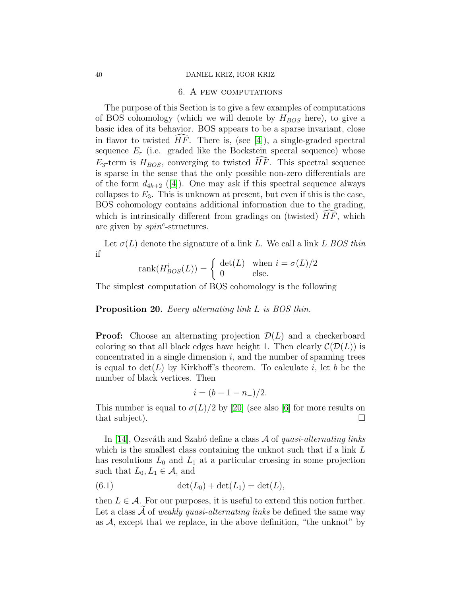#### 40 DANIEL KRIZ, IGOR KRIZ

### 6. A few computations

The purpose of this Section is to give a few examples of computations of BOS cohomology (which we will denote by  $H_{BOS}$  here), to give a basic idea of its behavior. BOS appears to be a sparse invariant, close in flavor to twisted  $HF$ . There is, (see [\[4\]](#page-44-7)), a single-graded spectral sequence  $E_r$  (i.e. graded like the Bockstein specral sequence) whose  $E_3$ -term is  $H_{BOS}$ , converging to twisted  $\widehat{HF}$ . This spectral sequence is sparse in the sense that the only possible non-zero differentials are of the form  $d_{4k+2}$  ([\[4\]](#page-44-7)). One may ask if this spectral sequence always collapses to  $E_3$ . This is unknown at present, but even if this is the case, BOS cohomology contains additional information due to the grading, which is intrinsically different from gradings on (twisted)  $HF$ , which are given by  $spin^c$ -structures.

Let  $\sigma(L)$  denote the signature of a link L. We call a link L BOS thin if

$$
rank(H_{BOS}^i(L)) = \begin{cases} det(L) & \text{when } i = \sigma(L)/2\\ 0 & \text{else.} \end{cases}
$$

The simplest computation of BOS cohomology is the following

<span id="page-39-0"></span>Proposition 20. Every alternating link L is BOS thin.

**Proof:** Choose an alternating projection  $\mathcal{D}(L)$  and a checkerboard coloring so that all black edges have height 1. Then clearly  $\mathcal{C}(\mathcal{D}(L))$  is concentrated in a single dimension  $i$ , and the number of spanning trees is equal to  $\det(L)$  by Kirkhoff's theorem. To calculate i, let b be the number of black vertices. Then

$$
i = (b - 1 - n_-)/2.
$$

This number is equal to  $\sigma(L)/2$  by [\[20\]](#page-45-0) (see also [\[6\]](#page-44-12) for more results on that subject).  $\Box$ 

In [\[14\]](#page-44-6), Ozsváth and Szabó define a class  $\mathcal A$  of quasi-alternating links which is the smallest class containing the unknot such that if a link L has resolutions  $L_0$  and  $L_1$  at a particular crossing in some projection such that  $L_0, L_1 \in \mathcal{A}$ , and

(6.1) 
$$
\det(L_0) + \det(L_1) = \det(L),
$$

then  $L \in \mathcal{A}$ . For our purposes, it is useful to extend this notion further. Let a class  $A$  of *weakly quasi-alternating links* be defined the same way as  $A$ , except that we replace, in the above definition, "the unknot" by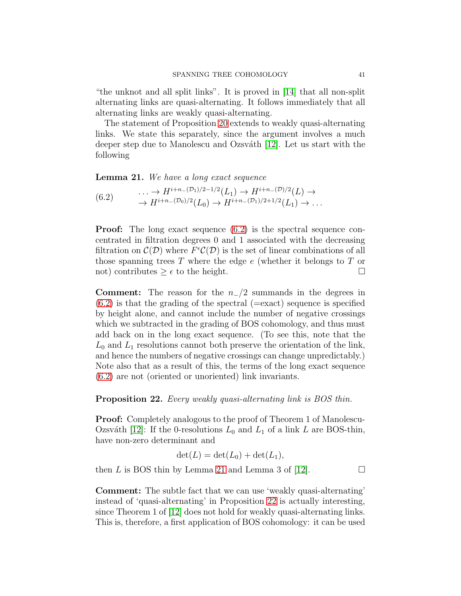"the unknot and all split links". It is proved in [\[14\]](#page-44-6) that all non-split alternating links are quasi-alternating. It follows immediately that all alternating links are weakly quasi-alternating.

The statement of Proposition [20](#page-39-0) extends to weakly quasi-alternating links. We state this separately, since the argument involves a much deeper step due to Manolescu and Ozsváth [\[12\]](#page-44-13). Let us start with the following

<span id="page-40-1"></span>Lemma 21. We have a long exact sequence

<span id="page-40-0"></span> $(6.2)$  ...  $\rightarrow H^{i+n-(\mathcal{D}_1)/2-1/2}(L_1) \rightarrow H^{i+n-(\mathcal{D})/2}(L) \rightarrow$  $\rightarrow H^{i+n-(\mathcal{D}_0)/2}(L_0) \rightarrow H^{i+n-(\mathcal{D}_1)/2+1/2}(L_1) \rightarrow \dots$ 

Proof: The long exact sequence [\(6.2\)](#page-40-0) is the spectral sequence concentrated in filtration degrees 0 and 1 associated with the decreasing filtration on  $\mathcal{C}(\mathcal{D})$  where  $F^{\epsilon}\mathcal{C}(\mathcal{D})$  is the set of linear combinations of all those spanning trees  $T$  where the edge  $e$  (whether it belongs to  $T$  or not) contributes  $\geq \epsilon$  to the height.

**Comment:** The reason for the  $n_2/2$  summands in the degrees in  $(6.2)$  is that the grading of the spectral ( $=$ exact) sequence is specified by height alone, and cannot include the number of negative crossings which we subtracted in the grading of BOS cohomology, and thus must add back on in the long exact sequence. (To see this, note that the  $L_0$  and  $L_1$  resolutions cannot both preserve the orientation of the link, and hence the numbers of negative crossings can change unpredictably.) Note also that as a result of this, the terms of the long exact sequence [\(6.2\)](#page-40-0) are not (oriented or unoriented) link invariants.

### <span id="page-40-2"></span>Proposition 22. Every weakly quasi-alternating link is BOS thin.

**Proof:** Completely analogous to the proof of Theorem 1 of Manolescu-Ozsváth [\[12\]](#page-44-13): If the 0-resolutions  $L_0$  and  $L_1$  of a link L are BOS-thin, have non-zero determinant and

$$
\det(L) = \det(L_0) + \det(L_1),
$$

then L is BOS thin by Lemma [21](#page-40-1) and Lemma 3 of [\[12\]](#page-44-13).  $\Box$ 

Comment: The subtle fact that we can use 'weakly quasi-alternating' instead of 'quasi-alternating' in Proposition [22](#page-40-2) is actually interesting, since Theorem 1 of [\[12\]](#page-44-13) does not hold for weakly quasi-alternating links. This is, therefore, a first application of BOS cohomology: it can be used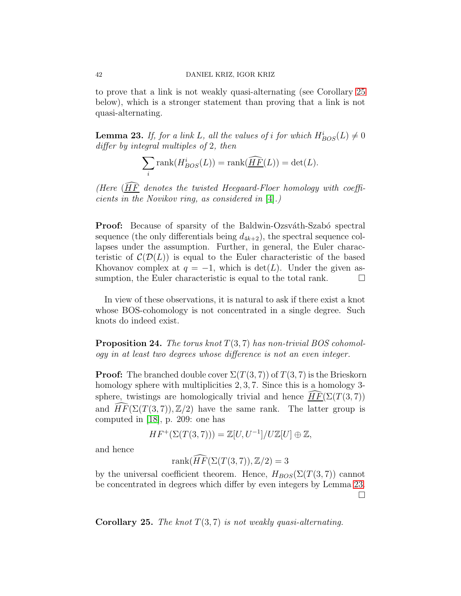to prove that a link is not weakly quasi-alternating (see Corollary [25](#page-41-0) below), which is a stronger statement than proving that a link is not quasi-alternating.

<span id="page-41-1"></span>**Lemma 23.** If, for a link L, all the values of i for which  $H_{BOS}^i(L) \neq 0$ differ by integral multiples of 2, then

$$
\sum_{i} \text{rank}(H_{BOS}^{i}(L)) = \text{rank}(\widehat{\underline{HF}}(L)) = \det(L).
$$

(Here  $(\widehat{HF}$  denotes the twisted Heegaard-Floer homology with coefficients in the Novikov ring, as considered in [\[4\]](#page-44-7).)

**Proof:** Because of sparsity of the Baldwin-Ozsváth-Szabó spectral sequence (the only differentials being  $d_{4k+2}$ ), the spectral sequence collapses under the assumption. Further, in general, the Euler characteristic of  $\mathcal{C}(\mathcal{D}(L))$  is equal to the Euler characteristic of the based Khovanov complex at  $q = -1$ , which is  $\det(L)$ . Under the given assumption, the Euler characteristic is equal to the total rank.  $\Box$ 

In view of these observations, it is natural to ask if there exist a knot whose BOS-cohomology is not concentrated in a single degree. Such knots do indeed exist.

**Proposition 24.** The torus knot  $T(3, 7)$  has non-trivial BOS cohomology in at least two degrees whose difference is not an even integer.

**Proof:** The branched double cover  $\Sigma(T(3,7))$  of  $T(3,7)$  is the Brieskorn homology sphere with multiplicities 2, 3, 7. Since this is a homology 3sphere, twistings are homologically trivial and hence  $HF(\Sigma(T(3, 7)))$ and  $HF(\Sigma(T(3, 7)), \mathbb{Z}/2)$  have the same rank. The latter group is computed in [\[18\]](#page-44-14), p. 209: one has

$$
HF^+(\Sigma(T(3,7))) = \mathbb{Z}[U, U^{-1}]/U\mathbb{Z}[U] \oplus \mathbb{Z},
$$

and hence

rank $(\widehat{HF}(\Sigma(T(3,7)), \mathbb{Z}/2) = 3$ 

by the universal coefficient theorem. Hence,  $H_{BOS}(\Sigma(T(3, 7))$  cannot be concentrated in degrees which differ by even integers by Lemma [23.](#page-41-1) П

<span id="page-41-0"></span>**Corollary 25.** The knot  $T(3, 7)$  is not weakly quasi-alternating.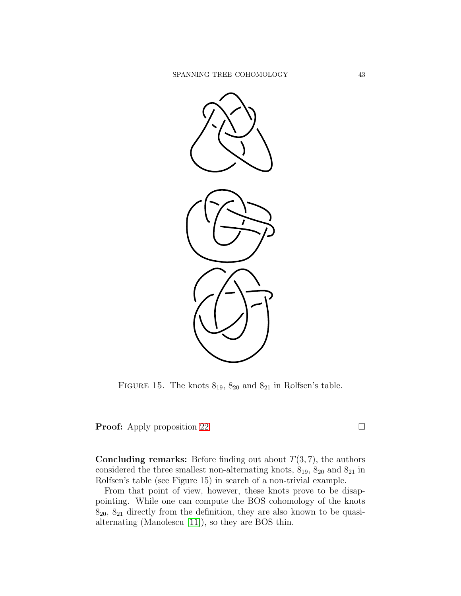

FIGURE 15. The knots  $8_{19}$ ,  $8_{20}$  and  $8_{21}$  in Rolfsen's table.

**Proof:** Apply proposition [22.](#page-40-2) □

**Concluding remarks:** Before finding out about  $T(3, 7)$ , the authors considered the three smallest non-alternating knots,  $8_{19}$ ,  $8_{20}$  and  $8_{21}$  in Rolfsen's table (see Figure 15) in search of a non-trivial example.

From that point of view, however, these knots prove to be disappointing. While one can compute the BOS cohomology of the knots  $8_{20}$ ,  $8_{21}$  directly from the definition, they are also known to be quasialternating (Manolescu [\[11\]](#page-44-15)), so they are BOS thin.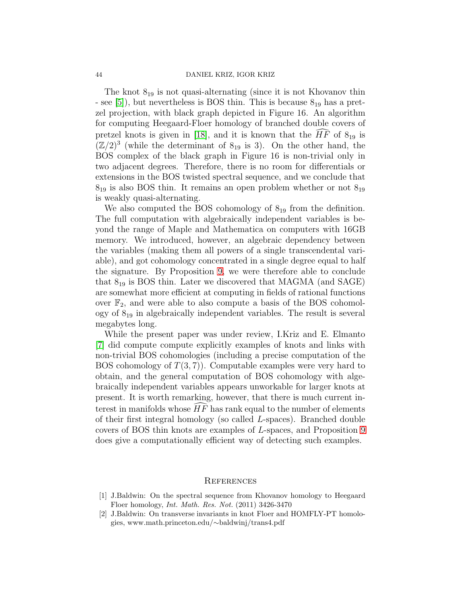#### 44 DANIEL KRIZ, IGOR KRIZ

The knot  $8_{19}$  is not quasi-alternating (since it is not Khovanov thin - see [\[5\]](#page-44-1)), but nevertheless is BOS thin. This is because  $8_{19}$  has a pretzel projection, with black graph depicted in Figure 16. An algorithm for computing Heegaard-Floer homology of branched double covers of pretzel knots is given in [\[18\]](#page-44-14), and it is known that the  $\widehat{HF}$  of  $8_{19}$  is  $(\mathbb{Z}/2)^3$  (while the determinant of  $8_{19}$  is 3). On the other hand, the BOS complex of the black graph in Figure 16 is non-trivial only in two adjacent degrees. Therefore, there is no room for differentials or extensions in the BOS twisted spectral sequence, and we conclude that  $8_{19}$  is also BOS thin. It remains an open problem whether or not  $8_{19}$ is weakly quasi-alternating.

We also computed the BOS cohomology of  $8_{19}$  from the definition. The full computation with algebraically independent variables is beyond the range of Maple and Mathematica on computers with 16GB memory. We introduced, however, an algebraic dependency between the variables (making them all powers of a single transcendental variable), and got cohomology concentrated in a single degree equal to half the signature. By Proposition [9,](#page-12-3) we were therefore able to conclude that  $8_{19}$  is BOS thin. Later we discovered that MAGMA (and SAGE) are somewhat more efficient at computing in fields of rational functions over  $\mathbb{F}_2$ , and were able to also compute a basis of the BOS cohomology of 8<sup>19</sup> in algebraically independent variables. The result is several megabytes long.

While the present paper was under review, I.Kriz and E. Elmanto [\[7\]](#page-44-16) did compute compute explicitly examples of knots and links with non-trivial BOS cohomologies (including a precise computation of the BOS cohomology of  $T(3, 7)$ . Computable examples were very hard to obtain, and the general computation of BOS cohomology with algebraically independent variables appears unworkable for larger knots at present. It is worth remarking, however, that there is much current interest in manifolds whose  $HF$  has rank equal to the number of elements of their first integral homology (so called L-spaces). Branched double covers of BOS thin knots are examples of L-spaces, and Proposition [9](#page-12-3) does give a computationally efficient way of detecting such examples.

### **REFERENCES**

- <span id="page-43-0"></span>[1] J.Baldwin: On the spectral sequence from Khovanov homology to Heegaard Floer homology, Int. Math. Res. Not. (2011) 3426-3470
- [2] J.Baldwin: On transverse invariants in knot Floer and HOMFLY-PT homologies, www.math.princeton.edu/∼baldwinj/trans4.pdf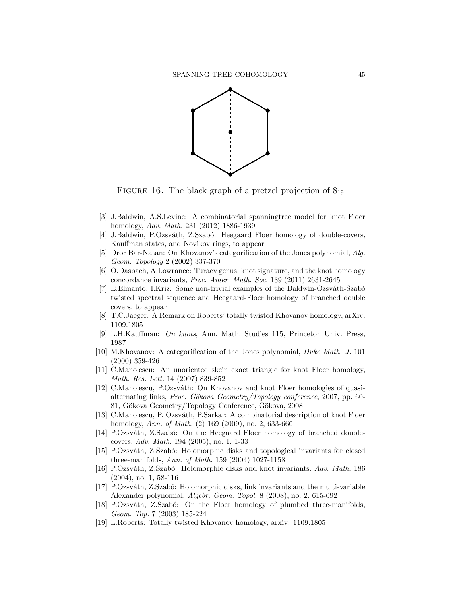

FIGURE 16. The black graph of a pretzel projection of  $8_{19}$ 

- <span id="page-44-11"></span>[3] J.Baldwin, A.S.Levine: A combinatorial spanningtree model for knot Floer homology, Adv. Math. 231 (2012) 1886-1939
- <span id="page-44-7"></span>[4] J.Baldwin, P.Ozsváth, Z.Szabó: Heegaard Floer homology of double-covers, Kauffman states, and Novikov rings, to appear
- <span id="page-44-1"></span>[5] Dror Bar-Natan: On Khovanov's categorification of the Jones polynomial, Alg. Geom. Topology 2 (2002) 337-370
- <span id="page-44-12"></span>[6] O.Dasbach, A.Lowrance: Turaev genus, knot signature, and the knot homology concordance invariants, Proc. Amer. Math. Soc. 139 (2011) 2631-2645
- <span id="page-44-16"></span>[7] E.Elmanto, I.Kriz: Some non-trivial examples of the Baldwin-Ozsváth-Szabó twisted spectral sequence and Heegaard-Floer homology of branched double covers, to appear
- <span id="page-44-10"></span><span id="page-44-8"></span>[8] T.C.Jaeger: A Remark on Roberts' totally twisted Khovanov homology, arXiv: 1109.1805
- <span id="page-44-0"></span>[9] L.H.Kauffman: On knots, Ann. Math. Studies 115, Princeton Univ. Press, 1987
- [10] M.Khovanov: A categorification of the Jones polynomial, Duke Math. J. 101 (2000) 359-426
- <span id="page-44-15"></span>[11] C.Manolescu: An unoriented skein exact triangle for knot Floer homology, Math. Res. Lett. 14 (2007) 839-852
- <span id="page-44-13"></span>[12] C.Manolescu, P.Ozsváth: On Khovanov and knot Floer homologies of quasialternating links, Proc. Gökova Geometry/Topology conference, 2007, pp. 60-81, Gökova Geometry/Topology Conference, Gökova, 2008
- <span id="page-44-5"></span>[13] C.Manolescu, P. Ozsv´ath, P.Sarkar: A combinatorial description of knot Floer homology, Ann. of Math. (2) 169 (2009), no. 2, 633-660
- <span id="page-44-6"></span>[14] P.Ozsváth, Z.Szabó: On the Heegaard Floer homology of branched doublecovers, Adv. Math. 194 (2005), no. 1, 1-33
- <span id="page-44-2"></span>[15] P.Ozsváth, Z.Szabó: Holomorphic disks and topological invariants for closed three-manifolds, Ann. of Math. 159 (2004) 1027-1158
- <span id="page-44-3"></span>[16] P.Ozsváth, Z.Szabó: Holomorphic disks and knot invariants. Adv. Math. 186 (2004), no. 1, 58-116
- <span id="page-44-4"></span>[17] P.Ozsváth, Z.Szabó: Holomorphic disks, link invariants and the multi-variable Alexander polynomial. Algebr. Geom. Topol. 8 (2008), no. 2, 615-692
- <span id="page-44-14"></span>[18] P.Ozsváth, Z.Szabó: On the Floer homology of plumbed three-manifolds, Geom. Top. 7 (2003) 185-224
- <span id="page-44-9"></span>[19] L.Roberts: Totally twisted Khovanov homology, arxiv: 1109.1805